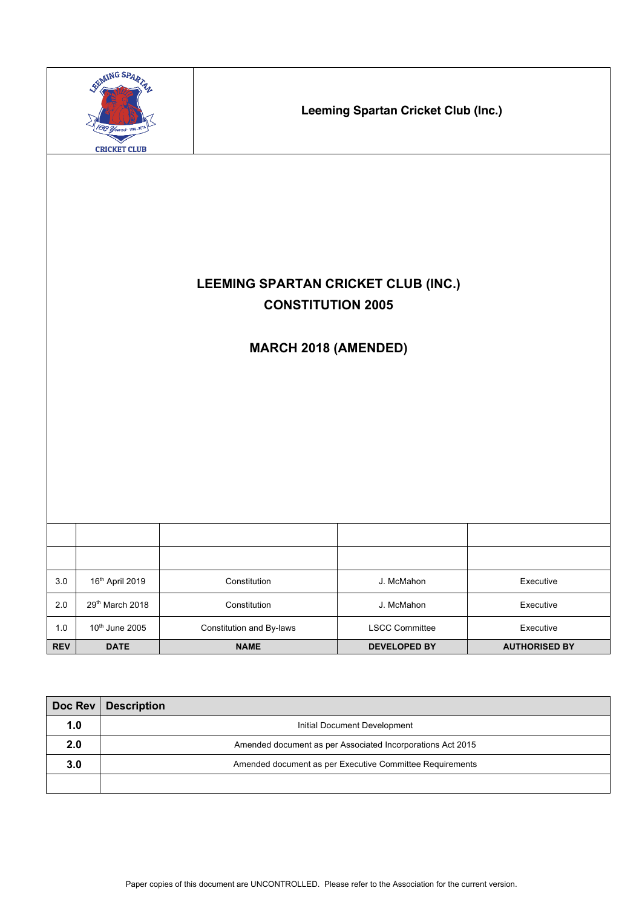|            | EEMING SPART<br>I Years 1918-21<br><b>CRICKET CLUB</b> |                                                                                                | <b>Leeming Spartan Cricket Club (Inc.)</b> |                      |
|------------|--------------------------------------------------------|------------------------------------------------------------------------------------------------|--------------------------------------------|----------------------|
|            |                                                        | LEEMING SPARTAN CRICKET CLUB (INC.)<br><b>CONSTITUTION 2005</b><br><b>MARCH 2018 (AMENDED)</b> |                                            |                      |
|            |                                                        |                                                                                                |                                            |                      |
| 3.0        | 16th April 2019                                        | Constitution                                                                                   | J. McMahon                                 | Executive            |
| $2.0\,$    | 29th March 2018                                        | Constitution                                                                                   | J. McMahon                                 | Executive            |
| $1.0\,$    | 10 <sup>th</sup> June 2005                             | Constitution and By-laws                                                                       | <b>LSCC Committee</b>                      | Executive            |
| <b>REV</b> | <b>DATE</b>                                            | <b>NAME</b>                                                                                    | <b>DEVELOPED BY</b>                        | <b>AUTHORISED BY</b> |

| Doc Rev | <b>Description</b>                                         |
|---------|------------------------------------------------------------|
| 1.0     | Initial Document Development                               |
| 2.0     | Amended document as per Associated Incorporations Act 2015 |
| 3.0     | Amended document as per Executive Committee Requirements   |
|         |                                                            |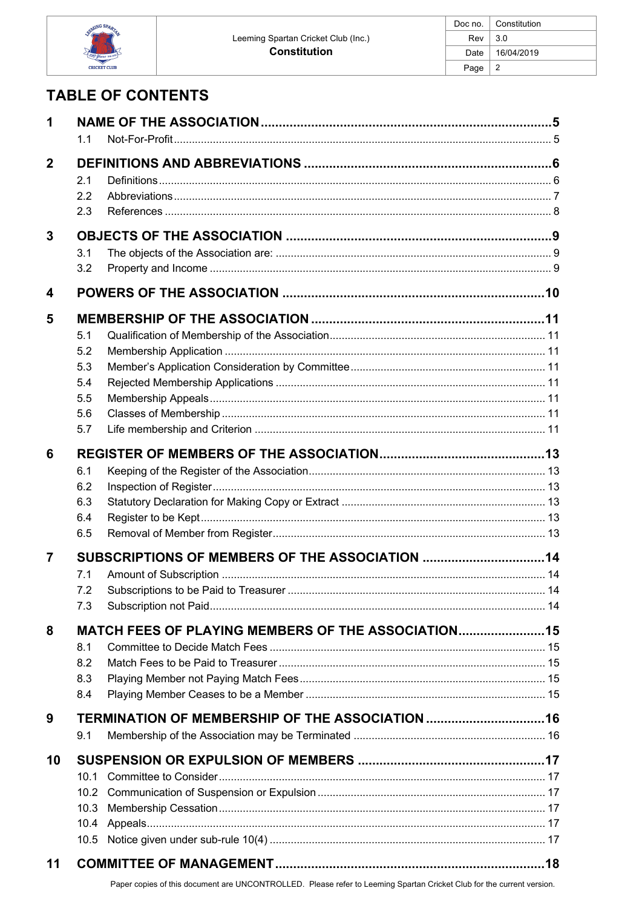

# **TABLE OF CONTENTS**

| 1              | 1.1                                                                                    |  |  |
|----------------|----------------------------------------------------------------------------------------|--|--|
| $\mathbf{2}$   | 2.1<br>2.2<br>2.3                                                                      |  |  |
| 3              | 3.1<br>3.2                                                                             |  |  |
| 4              |                                                                                        |  |  |
| 5              | 5.1<br>5.2<br>5.3<br>5.4<br>5.5<br>5.6<br>5.7                                          |  |  |
| 6              | 6.1<br>6.2<br>6.3<br>6.4<br>6.5                                                        |  |  |
| $\overline{7}$ | 7.1<br>7.2<br>7.3                                                                      |  |  |
| 8              | <b>MATCH FEES OF PLAYING MEMBERS OF THE ASSOCIATION 15</b><br>8.1<br>8.2<br>8.3<br>8.4 |  |  |
| 9              | TERMINATION OF MEMBERSHIP OF THE ASSOCIATION 16<br>9.1                                 |  |  |
| 10             | 10.1<br>10.2<br>10.3<br>10.4<br>10.5                                                   |  |  |
| 11             |                                                                                        |  |  |

Paper copies of this document are UNCONTROLLED. Please refer to Leeming Spartan Cricket Club for the current version.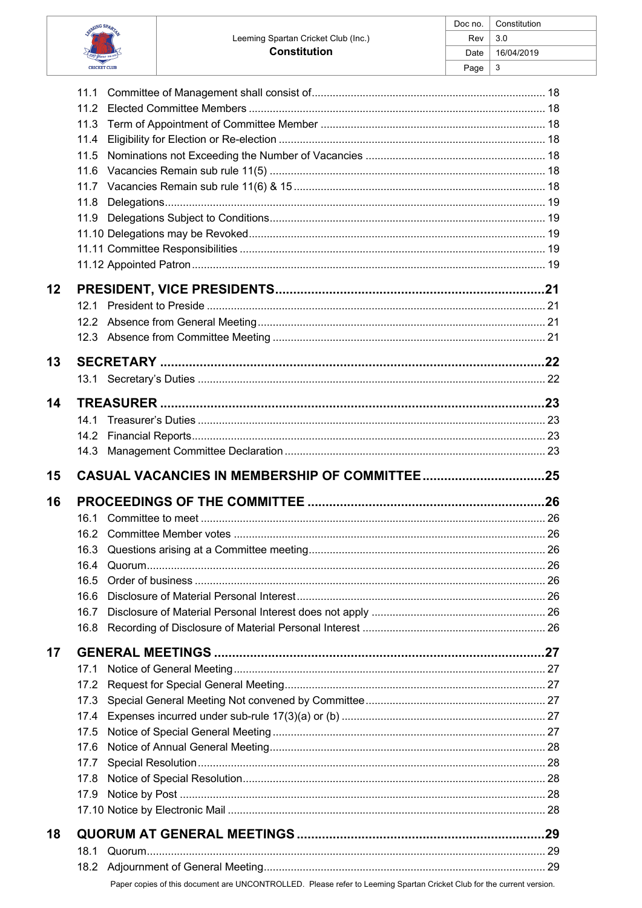| SEMING SPARTA<br>Stoot<br>ia.com |
|----------------------------------|
| <b>CRICKET CLUB</b>              |

|    |      | ı auc |
|----|------|-------|
|    | 11.1 |       |
|    | 11.2 |       |
|    | 11.3 |       |
|    | 11.4 |       |
|    | 11.5 |       |
|    | 11.6 |       |
|    |      |       |
|    | 11.8 |       |
|    |      |       |
|    |      |       |
|    |      |       |
|    |      |       |
| 12 |      |       |
|    | 12.1 |       |
|    |      |       |
|    |      |       |
|    |      |       |
| 13 |      |       |
|    |      |       |
| 14 |      |       |
|    | 14.1 |       |
|    | 14.2 |       |
|    | 14.3 |       |
| 15 |      |       |
|    |      |       |
| 16 |      |       |
|    | 16.1 |       |
|    |      |       |
|    |      |       |
|    | 16.4 |       |
|    | 16.5 |       |
|    | 16.6 |       |
|    | 16.7 |       |
|    | 16.8 |       |
| 17 |      |       |
|    | 17.1 |       |
|    | 17.2 |       |
|    | 17.3 |       |
|    | 17.4 |       |
|    | 17.5 |       |
|    | 17.6 |       |
|    | 17.7 |       |
|    | 17.8 |       |
|    | 17.9 |       |
|    |      |       |
| 18 |      |       |
|    | 18.1 |       |
|    |      |       |
|    |      |       |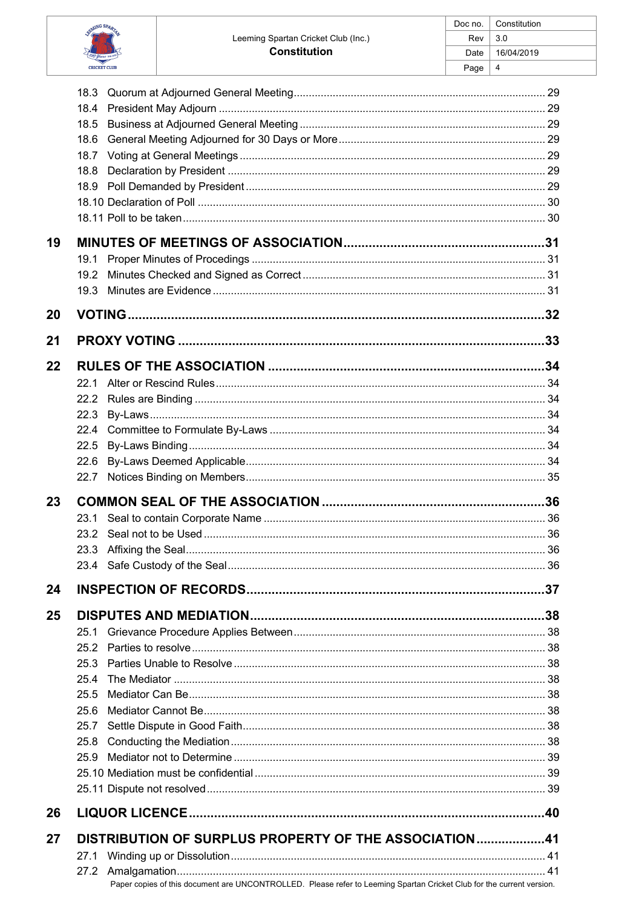| SEMING SPARTAL<br>Troos<br>va-zen |
|-----------------------------------|
| <b>CRICKET CLUB</b>               |

|    | 18.3                                                  |  |
|----|-------------------------------------------------------|--|
|    | 18.4                                                  |  |
|    | 18.5                                                  |  |
|    | 18.6                                                  |  |
|    | 18.7<br>18.8                                          |  |
|    |                                                       |  |
|    |                                                       |  |
|    |                                                       |  |
|    |                                                       |  |
| 19 |                                                       |  |
|    | 19.1                                                  |  |
|    | 19.2                                                  |  |
|    | 19.3                                                  |  |
| 20 |                                                       |  |
|    |                                                       |  |
| 21 |                                                       |  |
| 22 |                                                       |  |
|    | 22 1                                                  |  |
|    |                                                       |  |
|    | 22.3                                                  |  |
|    | 22.4                                                  |  |
|    | 22.5                                                  |  |
|    | 22.6                                                  |  |
|    | 22.7                                                  |  |
|    |                                                       |  |
|    |                                                       |  |
| 23 |                                                       |  |
|    | 23.1<br>23.2                                          |  |
|    |                                                       |  |
|    |                                                       |  |
|    |                                                       |  |
| 24 |                                                       |  |
| 25 |                                                       |  |
|    | 25.1                                                  |  |
|    | 25.2                                                  |  |
|    | 25.3                                                  |  |
|    | 25.4                                                  |  |
|    | 25.5                                                  |  |
|    | 25.6                                                  |  |
|    | 25.7                                                  |  |
|    | 25.8                                                  |  |
|    | 25.9                                                  |  |
|    |                                                       |  |
|    |                                                       |  |
| 26 |                                                       |  |
|    |                                                       |  |
| 27 | DISTRIBUTION OF SURPLUS PROPERTY OF THE ASSOCIATION41 |  |
|    |                                                       |  |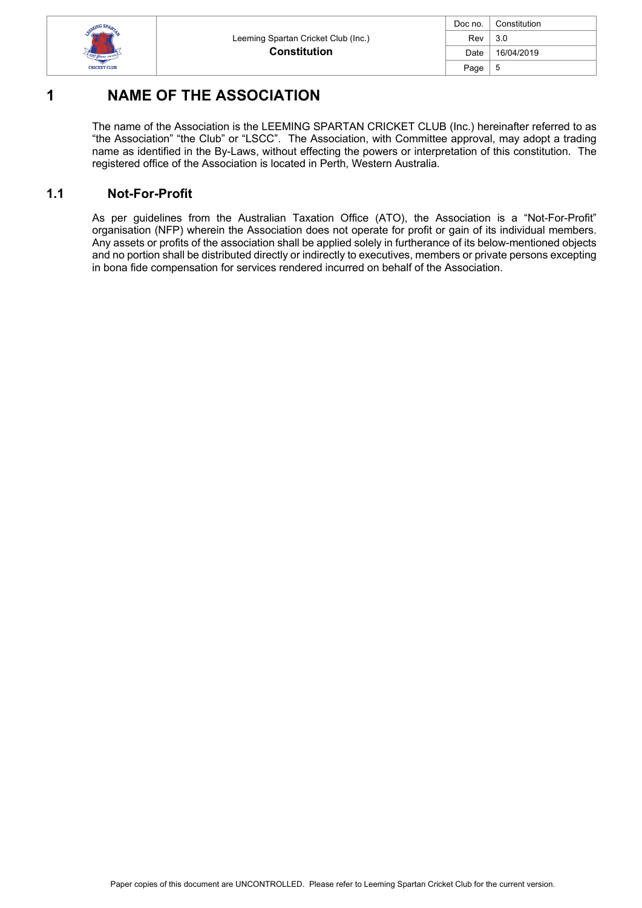

| Doc no. | Constitution |  |
|---------|--------------|--|
| Rev     | 3.0          |  |
| Date    | 16/04/2019   |  |
| Page    | 5            |  |

# **1 NAME OF THE ASSOCIATION**

The name of the Association is the LEEMING SPARTAN CRICKET CLUB (Inc.) hereinafter referred to as "the Association" "the Club" or "LSCC". The Association, with Committee approval, may adopt a trading name as identified in the By-Laws, without effecting the powers or interpretation of this constitution. The registered office of the Association is located in Perth, Western Australia.

# **1.1 Not-For-Profit**

As per guidelines from the Australian Taxation Office (ATO), the Association is a "Not-For-Profit" organisation (NFP) wherein the Association does not operate for profit or gain of its individual members. Any assets or profits of the association shall be applied solely in furtherance of its below-mentioned objects and no portion shall be distributed directly or indirectly to executives, members or private persons excepting in bona fide compensation for services rendered incurred on behalf of the Association.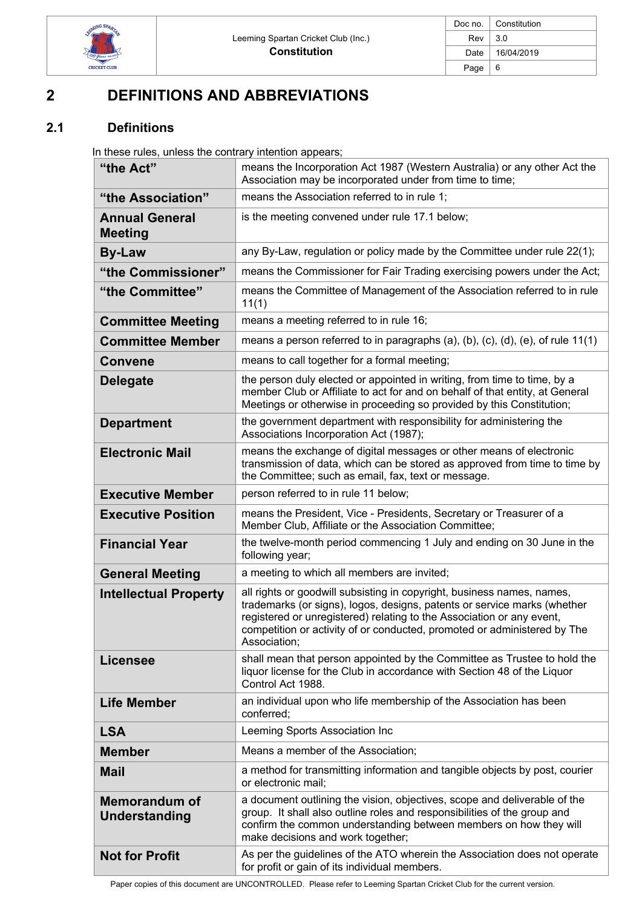

| Doc no. | Constitution |
|---------|--------------|
| Rev     | 3.0          |
| Date    | 16/04/2019   |
| Page    | 6            |

# **2 DEFINITIONS AND ABBREVIATIONS**

# **2.1 Definitions**

In these rules, unless the contrary intention appears;

| "the Act"                                    | means the Incorporation Act 1987 (Western Australia) or any other Act the<br>Association may be incorporated under from time to time;                                                                                                                                                                                   |
|----------------------------------------------|-------------------------------------------------------------------------------------------------------------------------------------------------------------------------------------------------------------------------------------------------------------------------------------------------------------------------|
| "the Association"                            | means the Association referred to in rule 1;                                                                                                                                                                                                                                                                            |
| <b>Annual General</b><br><b>Meeting</b>      | is the meeting convened under rule 17.1 below;                                                                                                                                                                                                                                                                          |
| <b>By-Law</b>                                | any By-Law, regulation or policy made by the Committee under rule 22(1);                                                                                                                                                                                                                                                |
| "the Commissioner"                           | means the Commissioner for Fair Trading exercising powers under the Act;                                                                                                                                                                                                                                                |
| "the Committee"                              | means the Committee of Management of the Association referred to in rule<br>11(1)                                                                                                                                                                                                                                       |
| <b>Committee Meeting</b>                     | means a meeting referred to in rule 16;                                                                                                                                                                                                                                                                                 |
| <b>Committee Member</b>                      | means a person referred to in paragraphs (a), (b), (c), (d), (e), of rule $11(1)$                                                                                                                                                                                                                                       |
| <b>Convene</b>                               | means to call together for a formal meeting;                                                                                                                                                                                                                                                                            |
| <b>Delegate</b>                              | the person duly elected or appointed in writing, from time to time, by a<br>member Club or Affiliate to act for and on behalf of that entity, at General<br>Meetings or otherwise in proceeding so provided by this Constitution;                                                                                       |
| <b>Department</b>                            | the government department with responsibility for administering the<br>Associations Incorporation Act (1987);                                                                                                                                                                                                           |
| <b>Electronic Mail</b>                       | means the exchange of digital messages or other means of electronic<br>transmission of data, which can be stored as approved from time to time by<br>the Committee; such as email, fax, text or message.                                                                                                                |
| <b>Executive Member</b>                      | person referred to in rule 11 below;                                                                                                                                                                                                                                                                                    |
| <b>Executive Position</b>                    | means the President, Vice - Presidents, Secretary or Treasurer of a<br>Member Club, Affiliate or the Association Committee;                                                                                                                                                                                             |
| <b>Financial Year</b>                        | the twelve-month period commencing 1 July and ending on 30 June in the<br>following year;                                                                                                                                                                                                                               |
| <b>General Meeting</b>                       | a meeting to which all members are invited;                                                                                                                                                                                                                                                                             |
| <b>Intellectual Property</b>                 | all rights or goodwill subsisting in copyright, business names, names,<br>trademarks (or signs), logos, designs, patents or service marks (whether<br>registered or unregistered) relating to the Association or any event,<br>competition or activity of or conducted, promoted or administered by The<br>Association; |
| <b>Licensee</b>                              | shall mean that person appointed by the Committee as Trustee to hold the<br>liquor license for the Club in accordance with Section 48 of the Liquor<br>Control Act 1988.                                                                                                                                                |
| <b>Life Member</b>                           | an individual upon who life membership of the Association has been<br>conferred;                                                                                                                                                                                                                                        |
| <b>LSA</b>                                   | Leeming Sports Association Inc                                                                                                                                                                                                                                                                                          |
| <b>Member</b>                                | Means a member of the Association;                                                                                                                                                                                                                                                                                      |
| <b>Mail</b>                                  | a method for transmitting information and tangible objects by post, courier<br>or electronic mail;                                                                                                                                                                                                                      |
| <b>Memorandum of</b><br><b>Understanding</b> | a document outlining the vision, objectives, scope and deliverable of the<br>group. It shall also outline roles and responsibilities of the group and<br>confirm the common understanding between members on how they will<br>make decisions and work together;                                                         |
| <b>Not for Profit</b>                        | As per the guidelines of the ATO wherein the Association does not operate<br>for profit or gain of its individual members.                                                                                                                                                                                              |

Paper copies of this document are UNCONTROLLED. Please refer to Leeming Spartan Cricket Club for the current version.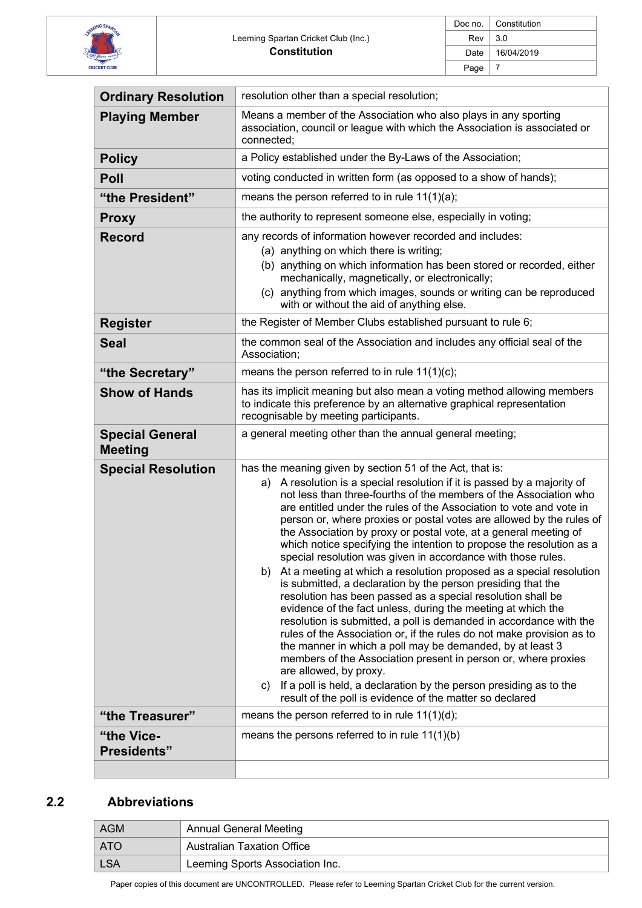

| Doc no. $\vert$ | Constitution |
|-----------------|--------------|
| Rev             | 3.0          |
| Date            | 16/04/2019   |
| Page            |              |

| <b>Ordinary Resolution</b>               | resolution other than a special resolution;                                                                                                                                                                                                                                                                                                                                                                                                                                                                                                                                                                                                                                                                                                                                                                                                                                                                                                                                                                                                                                                                                                                                                                                                                                                      |
|------------------------------------------|--------------------------------------------------------------------------------------------------------------------------------------------------------------------------------------------------------------------------------------------------------------------------------------------------------------------------------------------------------------------------------------------------------------------------------------------------------------------------------------------------------------------------------------------------------------------------------------------------------------------------------------------------------------------------------------------------------------------------------------------------------------------------------------------------------------------------------------------------------------------------------------------------------------------------------------------------------------------------------------------------------------------------------------------------------------------------------------------------------------------------------------------------------------------------------------------------------------------------------------------------------------------------------------------------|
| <b>Playing Member</b>                    | Means a member of the Association who also plays in any sporting<br>association, council or league with which the Association is associated or<br>connected;                                                                                                                                                                                                                                                                                                                                                                                                                                                                                                                                                                                                                                                                                                                                                                                                                                                                                                                                                                                                                                                                                                                                     |
| <b>Policy</b>                            | a Policy established under the By-Laws of the Association;                                                                                                                                                                                                                                                                                                                                                                                                                                                                                                                                                                                                                                                                                                                                                                                                                                                                                                                                                                                                                                                                                                                                                                                                                                       |
| Poll                                     | voting conducted in written form (as opposed to a show of hands);                                                                                                                                                                                                                                                                                                                                                                                                                                                                                                                                                                                                                                                                                                                                                                                                                                                                                                                                                                                                                                                                                                                                                                                                                                |
| "the President"                          | means the person referred to in rule $11(1)(a)$ ;                                                                                                                                                                                                                                                                                                                                                                                                                                                                                                                                                                                                                                                                                                                                                                                                                                                                                                                                                                                                                                                                                                                                                                                                                                                |
| <b>Proxy</b>                             | the authority to represent someone else, especially in voting;                                                                                                                                                                                                                                                                                                                                                                                                                                                                                                                                                                                                                                                                                                                                                                                                                                                                                                                                                                                                                                                                                                                                                                                                                                   |
| <b>Record</b>                            | any records of information however recorded and includes:<br>(a) anything on which there is writing;<br>(b) anything on which information has been stored or recorded, either<br>mechanically, magnetically, or electronically;<br>(c) anything from which images, sounds or writing can be reproduced<br>with or without the aid of anything else.                                                                                                                                                                                                                                                                                                                                                                                                                                                                                                                                                                                                                                                                                                                                                                                                                                                                                                                                              |
| <b>Register</b>                          | the Register of Member Clubs established pursuant to rule 6;                                                                                                                                                                                                                                                                                                                                                                                                                                                                                                                                                                                                                                                                                                                                                                                                                                                                                                                                                                                                                                                                                                                                                                                                                                     |
| <b>Seal</b>                              | the common seal of the Association and includes any official seal of the<br>Association;                                                                                                                                                                                                                                                                                                                                                                                                                                                                                                                                                                                                                                                                                                                                                                                                                                                                                                                                                                                                                                                                                                                                                                                                         |
| "the Secretary"                          | means the person referred to in rule $11(1)(c)$ ;                                                                                                                                                                                                                                                                                                                                                                                                                                                                                                                                                                                                                                                                                                                                                                                                                                                                                                                                                                                                                                                                                                                                                                                                                                                |
| <b>Show of Hands</b>                     | has its implicit meaning but also mean a voting method allowing members<br>to indicate this preference by an alternative graphical representation<br>recognisable by meeting participants.                                                                                                                                                                                                                                                                                                                                                                                                                                                                                                                                                                                                                                                                                                                                                                                                                                                                                                                                                                                                                                                                                                       |
| <b>Special General</b><br><b>Meeting</b> | a general meeting other than the annual general meeting;                                                                                                                                                                                                                                                                                                                                                                                                                                                                                                                                                                                                                                                                                                                                                                                                                                                                                                                                                                                                                                                                                                                                                                                                                                         |
| <b>Special Resolution</b>                | has the meaning given by section 51 of the Act, that is:<br>A resolution is a special resolution if it is passed by a majority of<br>a)<br>not less than three-fourths of the members of the Association who<br>are entitled under the rules of the Association to vote and vote in<br>person or, where proxies or postal votes are allowed by the rules of<br>the Association by proxy or postal vote, at a general meeting of<br>which notice specifying the intention to propose the resolution as a<br>special resolution was given in accordance with those rules.<br>b) At a meeting at which a resolution proposed as a special resolution<br>is submitted, a declaration by the person presiding that the<br>resolution has been passed as a special resolution shall be<br>evidence of the fact unless, during the meeting at which the<br>resolution is submitted, a poll is demanded in accordance with the<br>rules of the Association or, if the rules do not make provision as to<br>the manner in which a poll may be demanded, by at least 3<br>members of the Association present in person or, where proxies<br>are allowed, by proxy.<br>If a poll is held, a declaration by the person presiding as to the<br>C)<br>result of the poll is evidence of the matter so declared |
| "the Treasurer"                          | means the person referred to in rule $11(1)(d)$ ;                                                                                                                                                                                                                                                                                                                                                                                                                                                                                                                                                                                                                                                                                                                                                                                                                                                                                                                                                                                                                                                                                                                                                                                                                                                |
| "the Vice-<br><b>Presidents"</b>         | means the persons referred to in rule $11(1)(b)$                                                                                                                                                                                                                                                                                                                                                                                                                                                                                                                                                                                                                                                                                                                                                                                                                                                                                                                                                                                                                                                                                                                                                                                                                                                 |

# **2.2 Abbreviations**

| AGM        | <b>Annual General Meeting</b>     |
|------------|-----------------------------------|
| <b>ATO</b> | <b>Australian Taxation Office</b> |
| <b>LSA</b> | Leeming Sports Association Inc.   |

Paper copies of this document are UNCONTROLLED. Please refer to Leeming Spartan Cricket Club for the current version.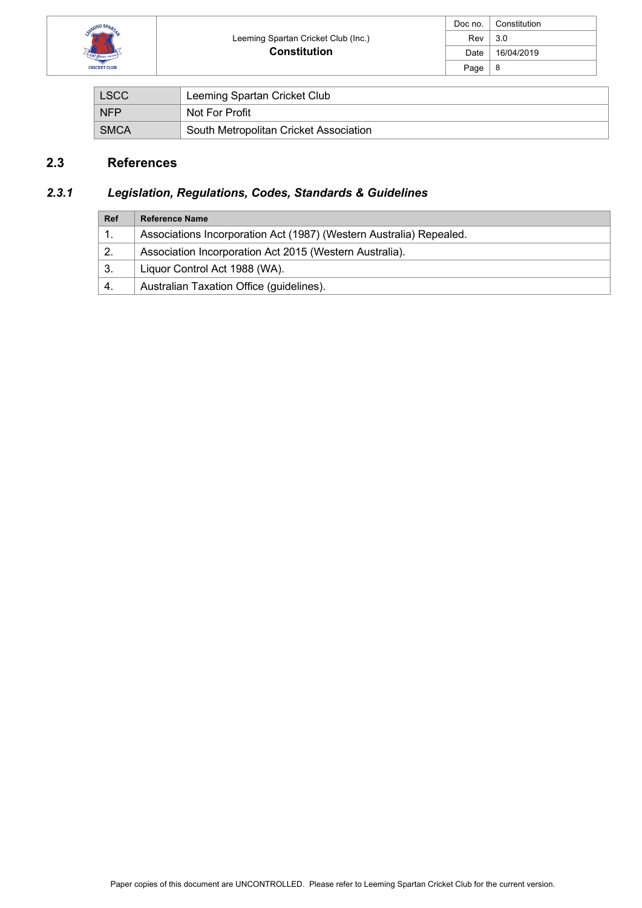

| Doc no. | Constitution |
|---------|--------------|
| Rev     | 3.0          |
| Date    | 16/04/2019   |
| Page    | 8            |

| <b>LSCC</b> | Leeming Spartan Cricket Club           |
|-------------|----------------------------------------|
| <b>NFP</b>  | Not For Profit                         |
| <b>SMCA</b> | South Metropolitan Cricket Association |

# **2.3 References**

# *2.3.1 Legislation, Regulations, Codes, Standards & Guidelines*

| <b>Ref</b> | <b>Reference Name</b>                                               |
|------------|---------------------------------------------------------------------|
|            | Associations Incorporation Act (1987) (Western Australia) Repealed. |
| 2.         | Association Incorporation Act 2015 (Western Australia).             |
| 3.         | Liquor Control Act 1988 (WA).                                       |
| 4.         | Australian Taxation Office (guidelines).                            |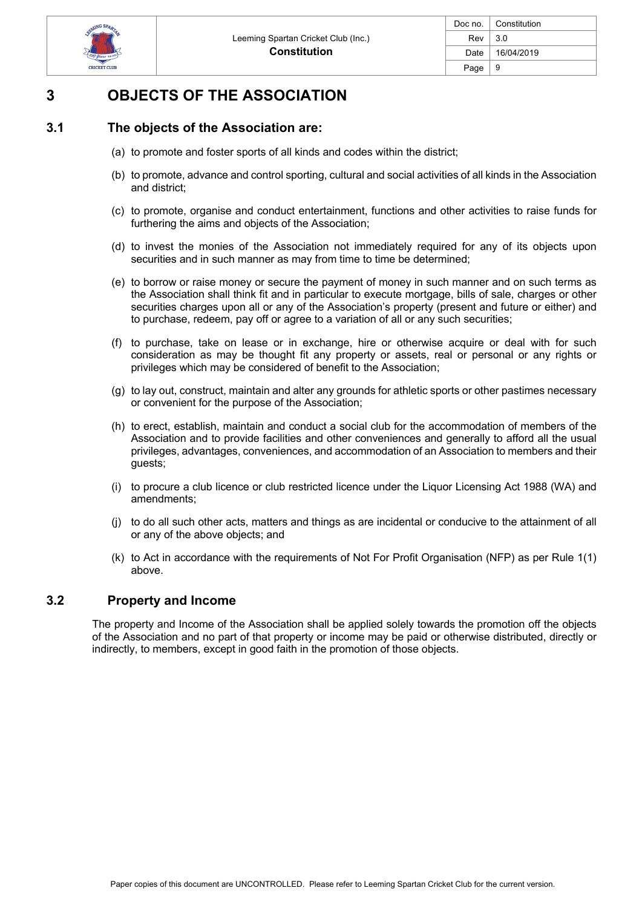

# **3 OBJECTS OF THE ASSOCIATION**

# **3.1 The objects of the Association are:**

- (a) to promote and foster sports of all kinds and codes within the district;
- (b) to promote, advance and control sporting, cultural and social activities of all kinds in the Association and district;
- (c) to promote, organise and conduct entertainment, functions and other activities to raise funds for furthering the aims and objects of the Association;
- (d) to invest the monies of the Association not immediately required for any of its objects upon securities and in such manner as may from time to time be determined;
- (e) to borrow or raise money or secure the payment of money in such manner and on such terms as the Association shall think fit and in particular to execute mortgage, bills of sale, charges or other securities charges upon all or any of the Association's property (present and future or either) and to purchase, redeem, pay off or agree to a variation of all or any such securities;
- (f) to purchase, take on lease or in exchange, hire or otherwise acquire or deal with for such consideration as may be thought fit any property or assets, real or personal or any rights or privileges which may be considered of benefit to the Association;
- (g) to lay out, construct, maintain and alter any grounds for athletic sports or other pastimes necessary or convenient for the purpose of the Association;
- (h) to erect, establish, maintain and conduct a social club for the accommodation of members of the Association and to provide facilities and other conveniences and generally to afford all the usual privileges, advantages, conveniences, and accommodation of an Association to members and their guests;
- (i) to procure a club licence or club restricted licence under the Liquor Licensing Act 1988 (WA) and amendments;
- (j) to do all such other acts, matters and things as are incidental or conducive to the attainment of all or any of the above objects; and
- (k) to Act in accordance with the requirements of Not For Profit Organisation (NFP) as per Rule 1(1) above.

#### **3.2 Property and Income**

The property and Income of the Association shall be applied solely towards the promotion off the objects of the Association and no part of that property or income may be paid or otherwise distributed, directly or indirectly, to members, except in good faith in the promotion of those objects.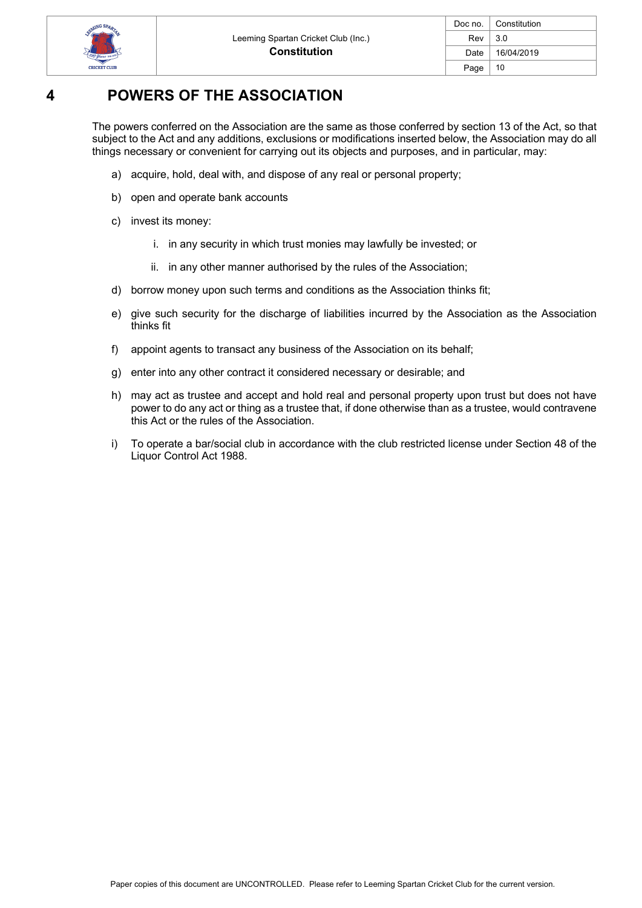

| Doc no. | Constitution |
|---------|--------------|
| Rev     | 3.0          |
| Date    | 16/04/2019   |
| Page    | 10           |

# **4 POWERS OF THE ASSOCIATION**

The powers conferred on the Association are the same as those conferred by section 13 of the Act, so that subject to the Act and any additions, exclusions or modifications inserted below, the Association may do all things necessary or convenient for carrying out its objects and purposes, and in particular, may:

- a) acquire, hold, deal with, and dispose of any real or personal property;
- b) open and operate bank accounts
- c) invest its money:
	- i. in any security in which trust monies may lawfully be invested; or
	- ii. in any other manner authorised by the rules of the Association;
- d) borrow money upon such terms and conditions as the Association thinks fit;
- e) give such security for the discharge of liabilities incurred by the Association as the Association thinks fit
- f) appoint agents to transact any business of the Association on its behalf;
- g) enter into any other contract it considered necessary or desirable; and
- h) may act as trustee and accept and hold real and personal property upon trust but does not have power to do any act or thing as a trustee that, if done otherwise than as a trustee, would contravene this Act or the rules of the Association.
- i) To operate a bar/social club in accordance with the club restricted license under Section 48 of the Liquor Control Act 1988.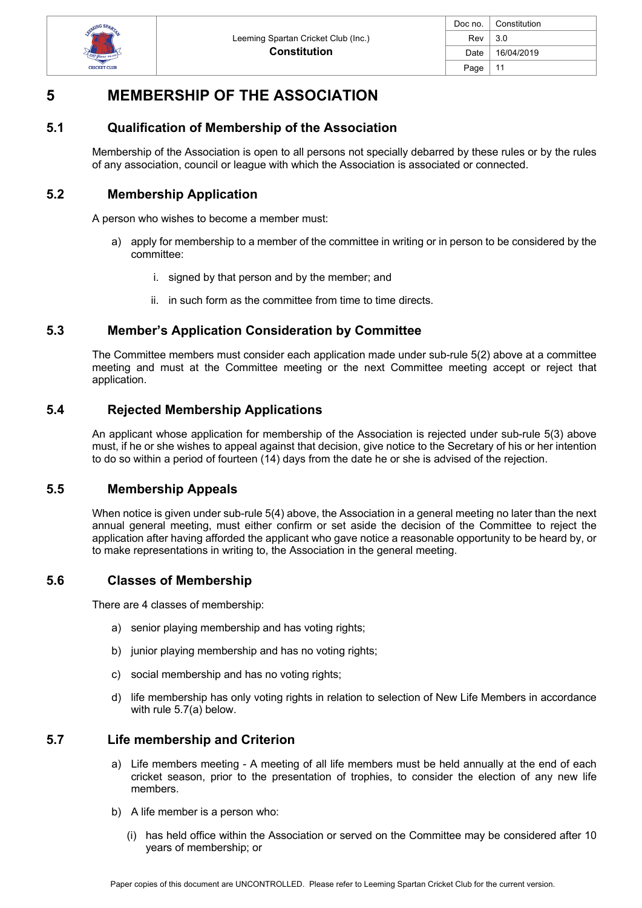

| Doc no. | Constitution |
|---------|--------------|
| Rev     | 3.0          |
| Date    | 16/04/2019   |
| Page    | 11           |

# **5 MEMBERSHIP OF THE ASSOCIATION**

### **5.1 Qualification of Membership of the Association**

Membership of the Association is open to all persons not specially debarred by these rules or by the rules of any association, council or league with which the Association is associated or connected.

### **5.2 Membership Application**

A person who wishes to become a member must:

- a) apply for membership to a member of the committee in writing or in person to be considered by the committee:
	- i. signed by that person and by the member; and
	- ii. in such form as the committee from time to time directs.

### **5.3 Member's Application Consideration by Committee**

The Committee members must consider each application made under sub-rule 5(2) above at a committee meeting and must at the Committee meeting or the next Committee meeting accept or reject that application.

### **5.4 Rejected Membership Applications**

An applicant whose application for membership of the Association is rejected under sub-rule 5(3) above must, if he or she wishes to appeal against that decision, give notice to the Secretary of his or her intention to do so within a period of fourteen (14) days from the date he or she is advised of the rejection.

#### **5.5 Membership Appeals**

When notice is given under sub-rule 5(4) above, the Association in a general meeting no later than the next annual general meeting, must either confirm or set aside the decision of the Committee to reject the application after having afforded the applicant who gave notice a reasonable opportunity to be heard by, or to make representations in writing to, the Association in the general meeting.

#### **5.6 Classes of Membership**

There are 4 classes of membership:

- a) senior playing membership and has voting rights;
- b) junior playing membership and has no voting rights;
- c) social membership and has no voting rights;
- d) life membership has only voting rights in relation to selection of New Life Members in accordance with rule 5.7(a) below.

#### **5.7 Life membership and Criterion**

- a) Life members meeting A meeting of all life members must be held annually at the end of each cricket season, prior to the presentation of trophies, to consider the election of any new life members.
- b) A life member is a person who:
	- (i) has held office within the Association or served on the Committee may be considered after 10 years of membership; or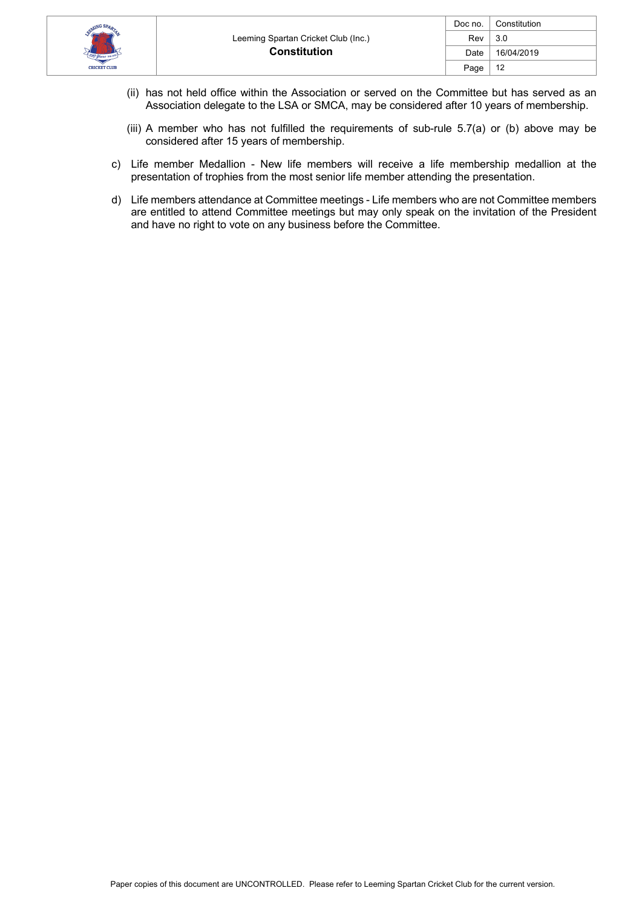

- (ii) has not held office within the Association or served on the Committee but has served as an Association delegate to the LSA or SMCA, may be considered after 10 years of membership.
- (iii) A member who has not fulfilled the requirements of sub-rule 5.7(a) or (b) above may be considered after 15 years of membership.
- c) Life member Medallion New life members will receive a life membership medallion at the presentation of trophies from the most senior life member attending the presentation.
- d) Life members attendance at Committee meetings Life members who are not Committee members are entitled to attend Committee meetings but may only speak on the invitation of the President and have no right to vote on any business before the Committee.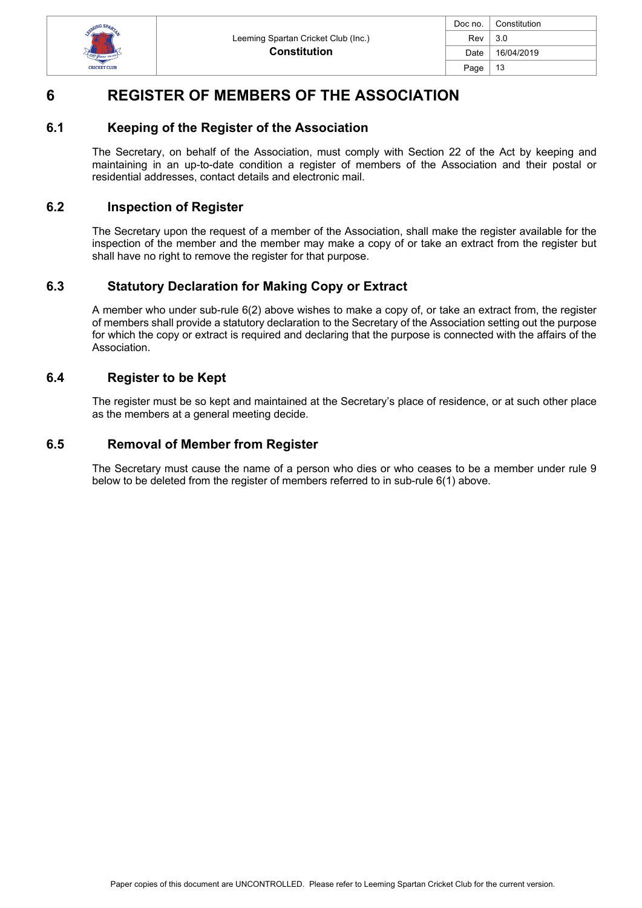

| Doc no. | Constitution |
|---------|--------------|
| Rev     | 3.0          |
| Date    | 16/04/2019   |
| Page    | 13           |
|         |              |

# **6 REGISTER OF MEMBERS OF THE ASSOCIATION**

### **6.1 Keeping of the Register of the Association**

The Secretary, on behalf of the Association, must comply with Section 22 of the Act by keeping and maintaining in an up-to-date condition a register of members of the Association and their postal or residential addresses, contact details and electronic mail.

### **6.2 Inspection of Register**

The Secretary upon the request of a member of the Association, shall make the register available for the inspection of the member and the member may make a copy of or take an extract from the register but shall have no right to remove the register for that purpose.

# **6.3 Statutory Declaration for Making Copy or Extract**

A member who under sub-rule 6(2) above wishes to make a copy of, or take an extract from, the register of members shall provide a statutory declaration to the Secretary of the Association setting out the purpose for which the copy or extract is required and declaring that the purpose is connected with the affairs of the Association.

### **6.4 Register to be Kept**

The register must be so kept and maintained at the Secretary's place of residence, or at such other place as the members at a general meeting decide.

### **6.5 Removal of Member from Register**

The Secretary must cause the name of a person who dies or who ceases to be a member under rule 9 below to be deleted from the register of members referred to in sub-rule 6(1) above.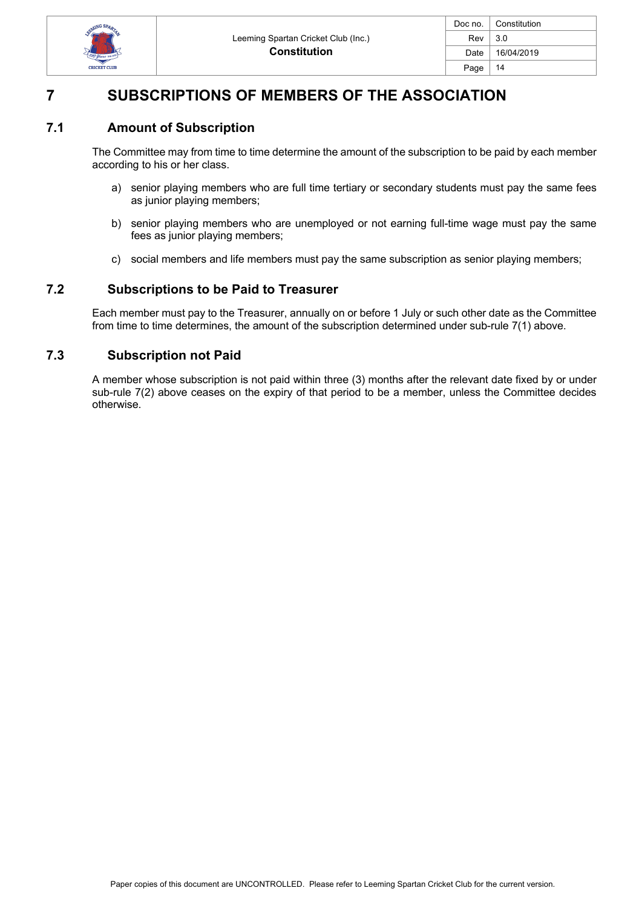

| Doc no. | Constitution |
|---------|--------------|
| Rev     | 3.0          |
| Date    | 16/04/2019   |
| Page    | 14           |

# **7 SUBSCRIPTIONS OF MEMBERS OF THE ASSOCIATION**

### **7.1 Amount of Subscription**

The Committee may from time to time determine the amount of the subscription to be paid by each member according to his or her class.

- a) senior playing members who are full time tertiary or secondary students must pay the same fees as junior playing members;
- b) senior playing members who are unemployed or not earning full-time wage must pay the same fees as junior playing members;
- c) social members and life members must pay the same subscription as senior playing members;

#### **7.2 Subscriptions to be Paid to Treasurer**

Each member must pay to the Treasurer, annually on or before 1 July or such other date as the Committee from time to time determines, the amount of the subscription determined under sub-rule 7(1) above.

#### **7.3 Subscription not Paid**

A member whose subscription is not paid within three (3) months after the relevant date fixed by or under sub-rule 7(2) above ceases on the expiry of that period to be a member, unless the Committee decides otherwise.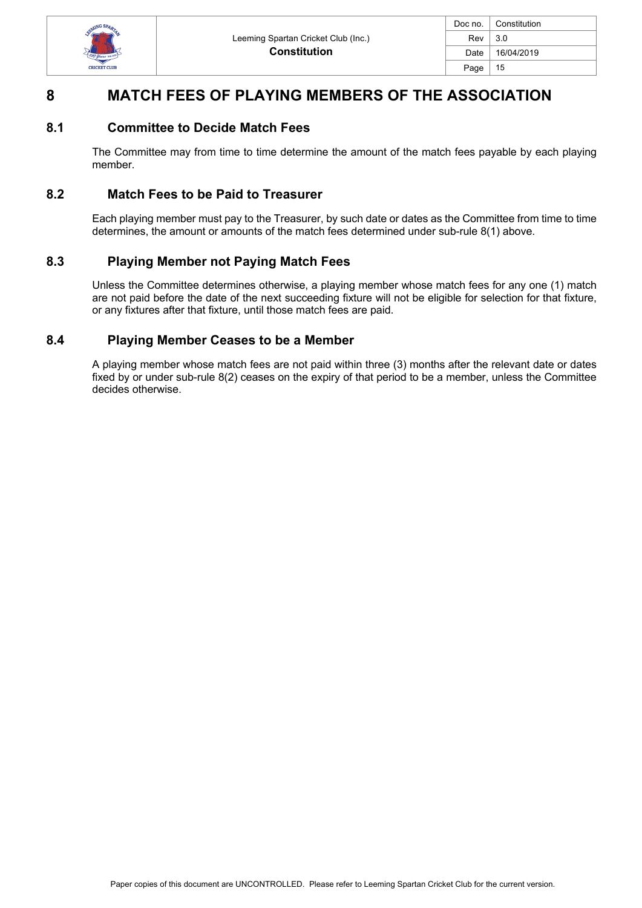

| Doc no. | Constitution |
|---------|--------------|
| Rev     | 3.0          |
| Date    | 16/04/2019   |
| Page    | 15           |
|         |              |

# **8 MATCH FEES OF PLAYING MEMBERS OF THE ASSOCIATION**

#### **8.1 Committee to Decide Match Fees**

The Committee may from time to time determine the amount of the match fees payable by each playing member.

#### **8.2 Match Fees to be Paid to Treasurer**

Each playing member must pay to the Treasurer, by such date or dates as the Committee from time to time determines, the amount or amounts of the match fees determined under sub-rule 8(1) above.

#### **8.3 Playing Member not Paying Match Fees**

Unless the Committee determines otherwise, a playing member whose match fees for any one (1) match are not paid before the date of the next succeeding fixture will not be eligible for selection for that fixture, or any fixtures after that fixture, until those match fees are paid.

#### **8.4 Playing Member Ceases to be a Member**

A playing member whose match fees are not paid within three (3) months after the relevant date or dates fixed by or under sub-rule 8(2) ceases on the expiry of that period to be a member, unless the Committee decides otherwise.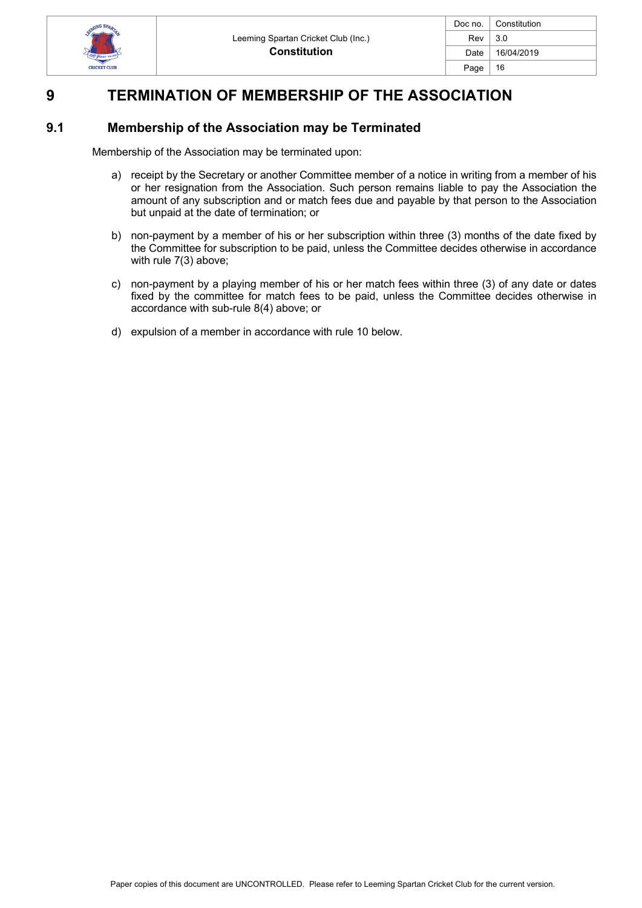

| Doc no. | Constitution |
|---------|--------------|
| Rev     | 3.0          |
| Date    | 16/04/2019   |
| Page    | 16           |
|         |              |

# **9 TERMINATION OF MEMBERSHIP OF THE ASSOCIATION**

# **9.1 Membership of the Association may be Terminated**

Membership of the Association may be terminated upon:

- a) receipt by the Secretary or another Committee member of a notice in writing from a member of his or her resignation from the Association. Such person remains liable to pay the Association the amount of any subscription and or match fees due and payable by that person to the Association but unpaid at the date of termination; or
- b) non-payment by a member of his or her subscription within three (3) months of the date fixed by the Committee for subscription to be paid, unless the Committee decides otherwise in accordance with rule 7(3) above;
- c) non-payment by a playing member of his or her match fees within three (3) of any date or dates fixed by the committee for match fees to be paid, unless the Committee decides otherwise in accordance with sub-rule 8(4) above; or
- d) expulsion of a member in accordance with rule 10 below.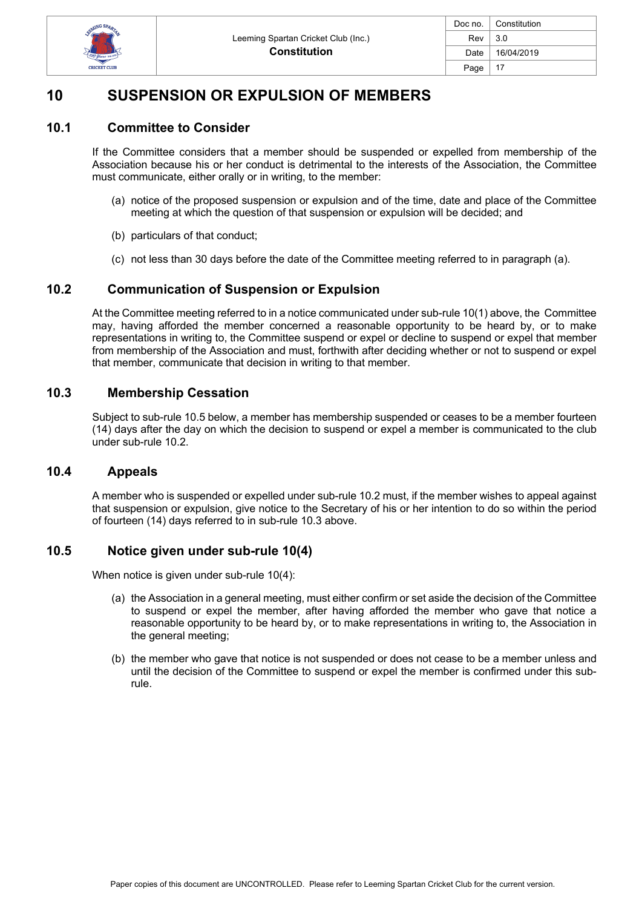

| Doc no. | Constitution |
|---------|--------------|
| Rev     | 3.0          |
| Date    | 16/04/2019   |
| Page    | 17           |

# **10 SUSPENSION OR EXPULSION OF MEMBERS**

### **10.1 Committee to Consider**

If the Committee considers that a member should be suspended or expelled from membership of the Association because his or her conduct is detrimental to the interests of the Association, the Committee must communicate, either orally or in writing, to the member:

- (a) notice of the proposed suspension or expulsion and of the time, date and place of the Committee meeting at which the question of that suspension or expulsion will be decided; and
- (b) particulars of that conduct;
- (c) not less than 30 days before the date of the Committee meeting referred to in paragraph (a).

#### **10.2 Communication of Suspension or Expulsion**

At the Committee meeting referred to in a notice communicated under sub-rule 10(1) above, the Committee may, having afforded the member concerned a reasonable opportunity to be heard by, or to make representations in writing to, the Committee suspend or expel or decline to suspend or expel that member from membership of the Association and must, forthwith after deciding whether or not to suspend or expel that member, communicate that decision in writing to that member.

#### **10.3 Membership Cessation**

Subject to sub-rule 10.5 below, a member has membership suspended or ceases to be a member fourteen (14) days after the day on which the decision to suspend or expel a member is communicated to the club under sub-rule 10.2.

#### **10.4 Appeals**

A member who is suspended or expelled under sub-rule 10.2 must, if the member wishes to appeal against that suspension or expulsion, give notice to the Secretary of his or her intention to do so within the period of fourteen (14) days referred to in sub-rule 10.3 above.

#### **10.5 Notice given under sub-rule 10(4)**

When notice is given under sub-rule 10(4):

- (a) the Association in a general meeting, must either confirm or set aside the decision of the Committee to suspend or expel the member, after having afforded the member who gave that notice a reasonable opportunity to be heard by, or to make representations in writing to, the Association in the general meeting;
- (b) the member who gave that notice is not suspended or does not cease to be a member unless and until the decision of the Committee to suspend or expel the member is confirmed under this subrule.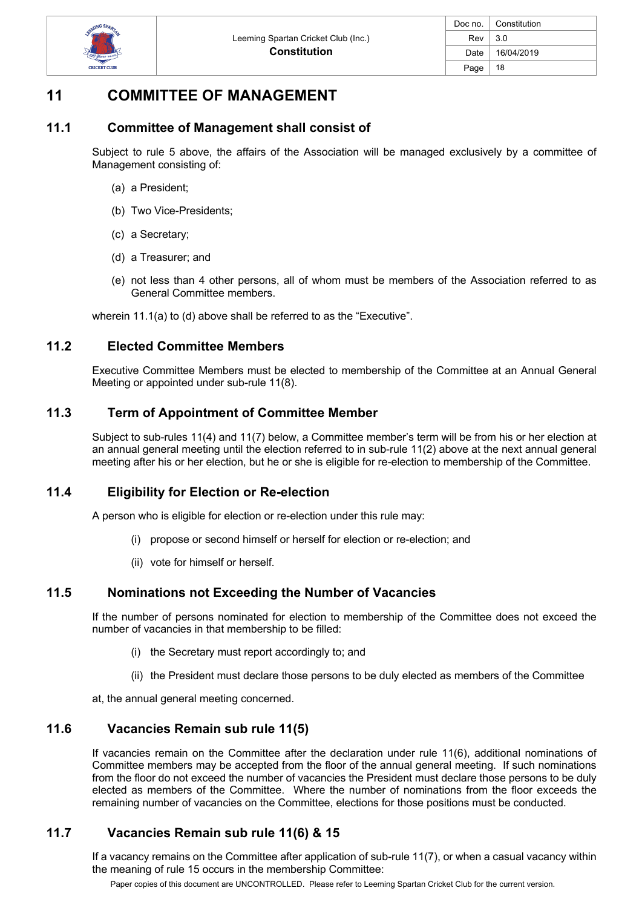

# **11 COMMITTEE OF MANAGEMENT**

### **11.1 Committee of Management shall consist of**

Subject to rule 5 above, the affairs of the Association will be managed exclusively by a committee of Management consisting of:

- (a) a President;
- (b) Two Vice-Presidents;
- (c) a Secretary;
- (d) a Treasurer; and
- (e) not less than 4 other persons, all of whom must be members of the Association referred to as General Committee members.

wherein 11.1(a) to (d) above shall be referred to as the "Executive".

### **11.2 Elected Committee Members**

Executive Committee Members must be elected to membership of the Committee at an Annual General Meeting or appointed under sub-rule 11(8).

### **11.3 Term of Appointment of Committee Member**

Subject to sub-rules 11(4) and 11(7) below, a Committee member's term will be from his or her election at an annual general meeting until the election referred to in sub-rule 11(2) above at the next annual general meeting after his or her election, but he or she is eligible for re-election to membership of the Committee.

#### **11.4 Eligibility for Election or Re-election**

A person who is eligible for election or re-election under this rule may:

- (i) propose or second himself or herself for election or re-election; and
- (ii) vote for himself or herself.

#### **11.5 Nominations not Exceeding the Number of Vacancies**

If the number of persons nominated for election to membership of the Committee does not exceed the number of vacancies in that membership to be filled:

- (i) the Secretary must report accordingly to; and
- (ii) the President must declare those persons to be duly elected as members of the Committee

at, the annual general meeting concerned.

### **11.6 Vacancies Remain sub rule 11(5)**

If vacancies remain on the Committee after the declaration under rule 11(6), additional nominations of Committee members may be accepted from the floor of the annual general meeting. If such nominations from the floor do not exceed the number of vacancies the President must declare those persons to be duly elected as members of the Committee. Where the number of nominations from the floor exceeds the remaining number of vacancies on the Committee, elections for those positions must be conducted.

# **11.7 Vacancies Remain sub rule 11(6) & 15**

If a vacancy remains on the Committee after application of sub-rule 11(7), or when a casual vacancy within the meaning of rule 15 occurs in the membership Committee:

Paper copies of this document are UNCONTROLLED. Please refer to Leeming Spartan Cricket Club for the current version.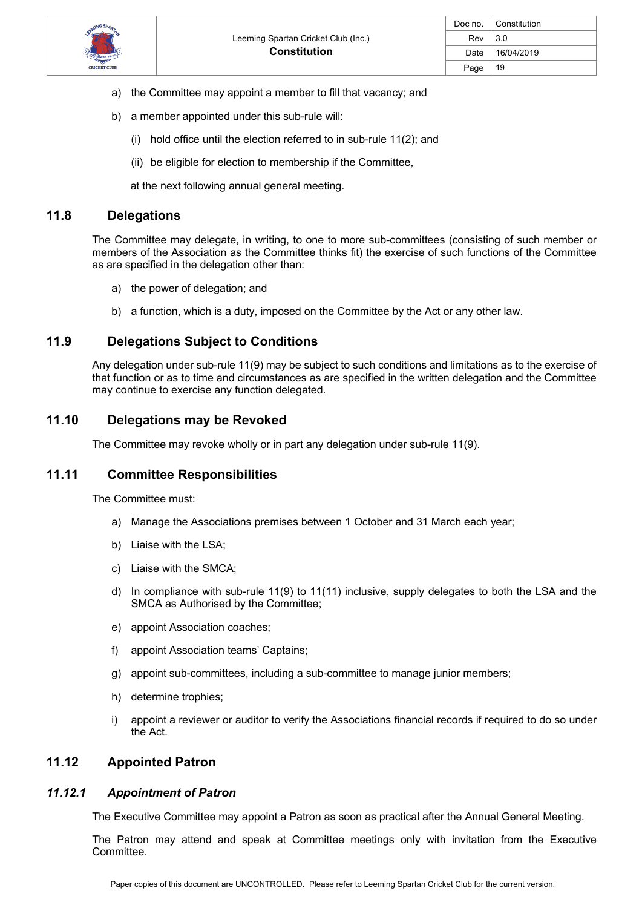

- a) the Committee may appoint a member to fill that vacancy; and
- b) a member appointed under this sub-rule will:
	- (i) hold office until the election referred to in sub-rule 11(2); and
	- (ii) be eligible for election to membership if the Committee,

at the next following annual general meeting.

#### **11.8 Delegations**

The Committee may delegate, in writing, to one to more sub-committees (consisting of such member or members of the Association as the Committee thinks fit) the exercise of such functions of the Committee as are specified in the delegation other than:

- a) the power of delegation; and
- b) a function, which is a duty, imposed on the Committee by the Act or any other law.

#### **11.9 Delegations Subject to Conditions**

Any delegation under sub-rule 11(9) may be subject to such conditions and limitations as to the exercise of that function or as to time and circumstances as are specified in the written delegation and the Committee may continue to exercise any function delegated.

# **11.10 Delegations may be Revoked**

The Committee may revoke wholly or in part any delegation under sub-rule 11(9).

#### **11.11 Committee Responsibilities**

The Committee must:

- a) Manage the Associations premises between 1 October and 31 March each year;
- b) Liaise with the LSA;
- c) Liaise with the SMCA;
- d) In compliance with sub-rule 11(9) to 11(11) inclusive, supply delegates to both the LSA and the SMCA as Authorised by the Committee;
- e) appoint Association coaches;
- f) appoint Association teams' Captains;
- g) appoint sub-committees, including a sub-committee to manage junior members;
- h) determine trophies;
- i) appoint a reviewer or auditor to verify the Associations financial records if required to do so under the Act.

# **11.12 Appointed Patron**

#### *11.12.1 Appointment of Patron*

The Executive Committee may appoint a Patron as soon as practical after the Annual General Meeting.

The Patron may attend and speak at Committee meetings only with invitation from the Executive Committee.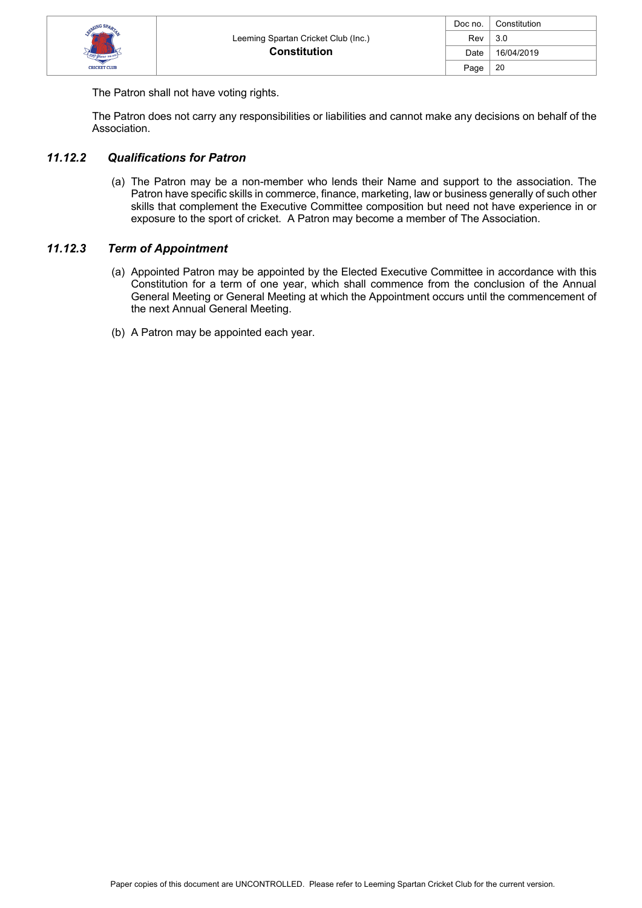

The Patron shall not have voting rights.

The Patron does not carry any responsibilities or liabilities and cannot make any decisions on behalf of the Association.

#### *11.12.2 Qualifications for Patron*

(a) The Patron may be a non-member who lends their Name and support to the association. The Patron have specific skills in commerce, finance, marketing, law or business generally of such other skills that complement the Executive Committee composition but need not have experience in or exposure to the sport of cricket. A Patron may become a member of The Association.

#### *11.12.3 Term of Appointment*

- (a) Appointed Patron may be appointed by the Elected Executive Committee in accordance with this Constitution for a term of one year, which shall commence from the conclusion of the Annual General Meeting or General Meeting at which the Appointment occurs until the commencement of the next Annual General Meeting.
- (b) A Patron may be appointed each year.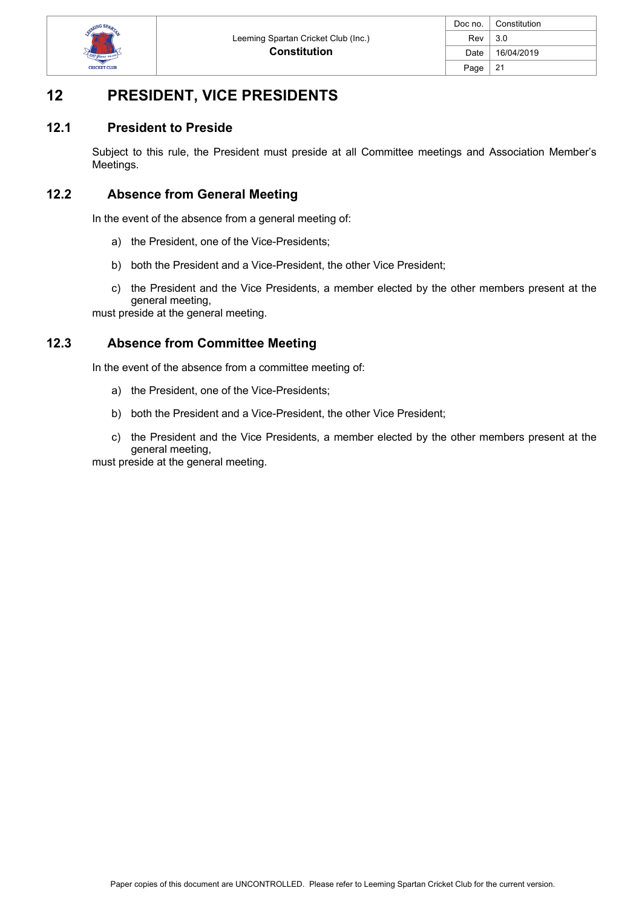

# **12 PRESIDENT, VICE PRESIDENTS**

### **12.1 President to Preside**

Subject to this rule, the President must preside at all Committee meetings and Association Member's Meetings.

### **12.2 Absence from General Meeting**

In the event of the absence from a general meeting of:

- a) the President, one of the Vice-Presidents;
- b) both the President and a Vice-President, the other Vice President;
- c) the President and the Vice Presidents, a member elected by the other members present at the general meeting,

must preside at the general meeting.

#### **12.3 Absence from Committee Meeting**

In the event of the absence from a committee meeting of:

- a) the President, one of the Vice-Presidents;
- b) both the President and a Vice-President, the other Vice President;
- c) the President and the Vice Presidents, a member elected by the other members present at the general meeting,

must preside at the general meeting.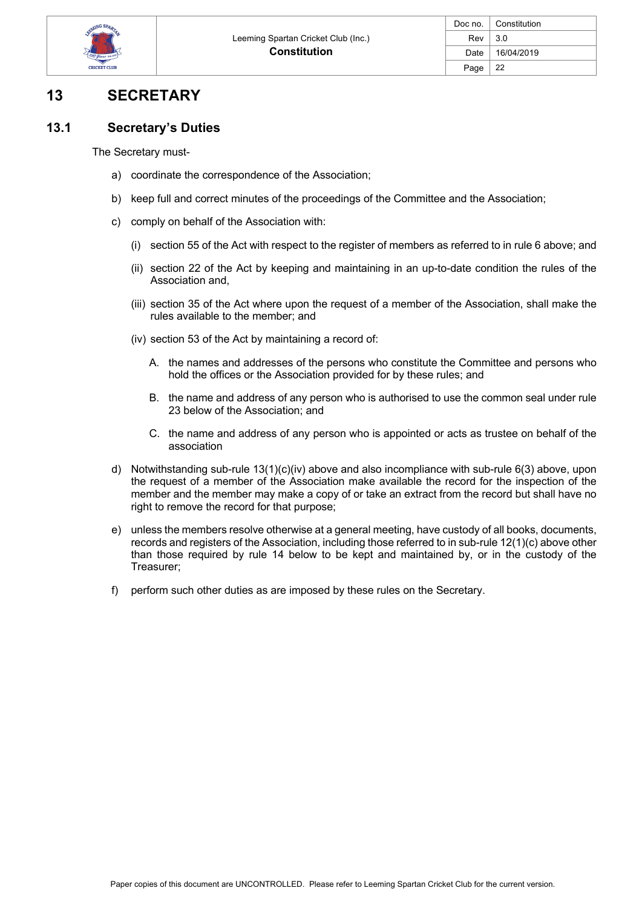

# **13 SECRETARY**

# **13.1 Secretary's Duties**

The Secretary must-

- a) coordinate the correspondence of the Association;
- b) keep full and correct minutes of the proceedings of the Committee and the Association;
- c) comply on behalf of the Association with:
	- (i) section 55 of the Act with respect to the register of members as referred to in rule 6 above; and
	- (ii) section 22 of the Act by keeping and maintaining in an up-to-date condition the rules of the Association and,
	- (iii) section 35 of the Act where upon the request of a member of the Association, shall make the rules available to the member; and
	- (iv) section 53 of the Act by maintaining a record of:
		- A. the names and addresses of the persons who constitute the Committee and persons who hold the offices or the Association provided for by these rules; and
		- B. the name and address of any person who is authorised to use the common seal under rule 23 below of the Association; and
		- C. the name and address of any person who is appointed or acts as trustee on behalf of the association
- d) Notwithstanding sub-rule 13(1)(c)(iv) above and also incompliance with sub-rule 6(3) above, upon the request of a member of the Association make available the record for the inspection of the member and the member may make a copy of or take an extract from the record but shall have no right to remove the record for that purpose;
- e) unless the members resolve otherwise at a general meeting, have custody of all books, documents, records and registers of the Association, including those referred to in sub-rule 12(1)(c) above other than those required by rule 14 below to be kept and maintained by, or in the custody of the Treasurer;
- f) perform such other duties as are imposed by these rules on the Secretary.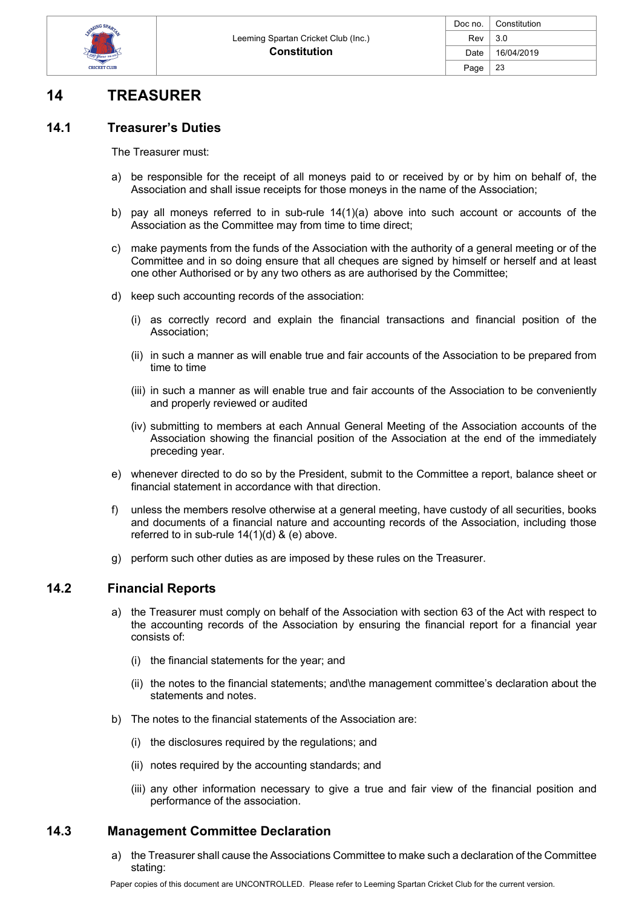

# **14 TREASURER**

### **14.1 Treasurer's Duties**

The Treasurer must:

- a) be responsible for the receipt of all moneys paid to or received by or by him on behalf of, the Association and shall issue receipts for those moneys in the name of the Association;
- b) pay all moneys referred to in sub-rule  $14(1)(a)$  above into such account or accounts of the Association as the Committee may from time to time direct;
- c) make payments from the funds of the Association with the authority of a general meeting or of the Committee and in so doing ensure that all cheques are signed by himself or herself and at least one other Authorised or by any two others as are authorised by the Committee;
- d) keep such accounting records of the association:
	- (i) as correctly record and explain the financial transactions and financial position of the Association;
	- (ii) in such a manner as will enable true and fair accounts of the Association to be prepared from time to time
	- (iii) in such a manner as will enable true and fair accounts of the Association to be conveniently and properly reviewed or audited
	- (iv) submitting to members at each Annual General Meeting of the Association accounts of the Association showing the financial position of the Association at the end of the immediately preceding year.
- e) whenever directed to do so by the President, submit to the Committee a report, balance sheet or financial statement in accordance with that direction.
- f) unless the members resolve otherwise at a general meeting, have custody of all securities, books and documents of a financial nature and accounting records of the Association, including those referred to in sub-rule 14(1)(d) & (e) above.
- g) perform such other duties as are imposed by these rules on the Treasurer.

#### **14.2 Financial Reports**

- a) the Treasurer must comply on behalf of the Association with section 63 of the Act with respect to the accounting records of the Association by ensuring the financial report for a financial year consists of:
	- (i) the financial statements for the year; and
	- (ii) the notes to the financial statements; and\the management committee's declaration about the statements and notes.
- b) The notes to the financial statements of the Association are:
	- (i) the disclosures required by the regulations; and
	- (ii) notes required by the accounting standards; and
	- (iii) any other information necessary to give a true and fair view of the financial position and performance of the association.

#### **14.3 Management Committee Declaration**

a) the Treasurer shall cause the Associations Committee to make such a declaration of the Committee stating: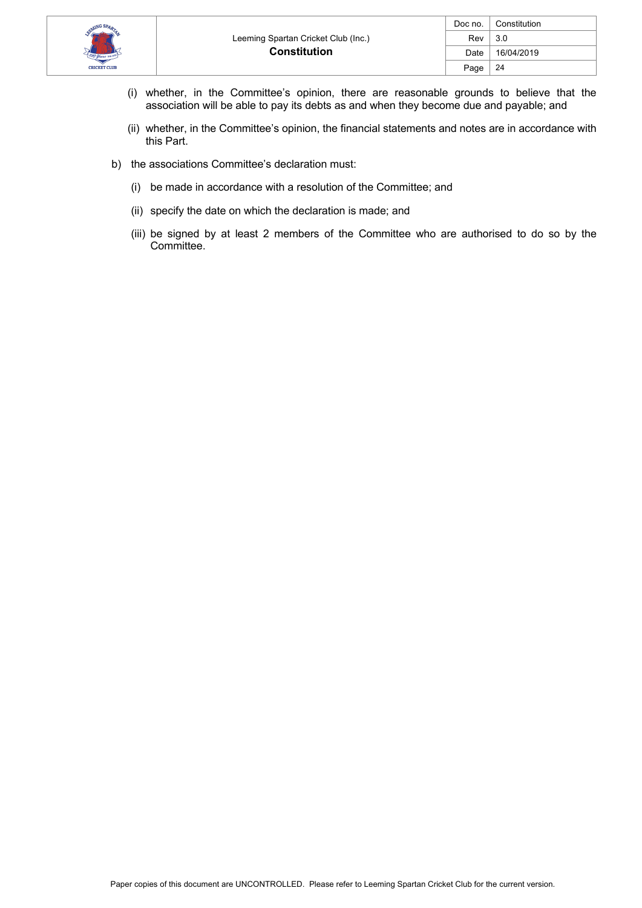

- (i) whether, in the Committee's opinion, there are reasonable grounds to believe that the association will be able to pay its debts as and when they become due and payable; and
- (ii) whether, in the Committee's opinion, the financial statements and notes are in accordance with this Part.
- b) the associations Committee's declaration must:
	- (i) be made in accordance with a resolution of the Committee; and
	- (ii) specify the date on which the declaration is made; and
	- (iii) be signed by at least 2 members of the Committee who are authorised to do so by the Committee.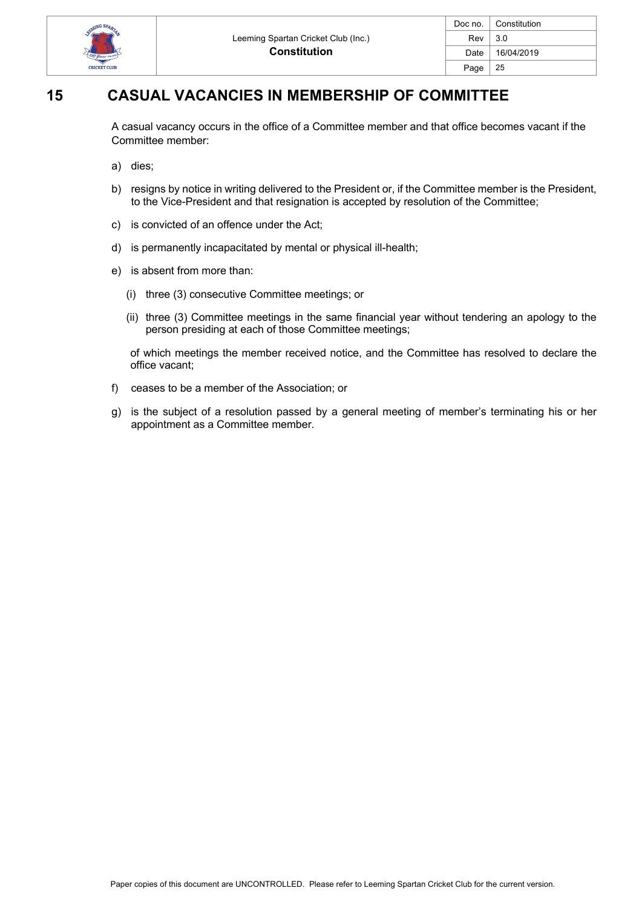

| Doc no. | Constitution |
|---------|--------------|
| Rev     | 3.0          |
| Date    | 16/04/2019   |
| Page    | 25           |
|         |              |

# **15 CASUAL VACANCIES IN MEMBERSHIP OF COMMITTEE**

A casual vacancy occurs in the office of a Committee member and that office becomes vacant if the Committee member:

- a) dies;
- b) resigns by notice in writing delivered to the President or, if the Committee member is the President, to the Vice-President and that resignation is accepted by resolution of the Committee;
- c) is convicted of an offence under the Act;
- d) is permanently incapacitated by mental or physical ill-health;
- e) is absent from more than:
	- (i) three (3) consecutive Committee meetings; or
	- (ii) three (3) Committee meetings in the same financial year without tendering an apology to the person presiding at each of those Committee meetings;

of which meetings the member received notice, and the Committee has resolved to declare the office vacant;

- f) ceases to be a member of the Association; or
- g) is the subject of a resolution passed by a general meeting of member's terminating his or her appointment as a Committee member.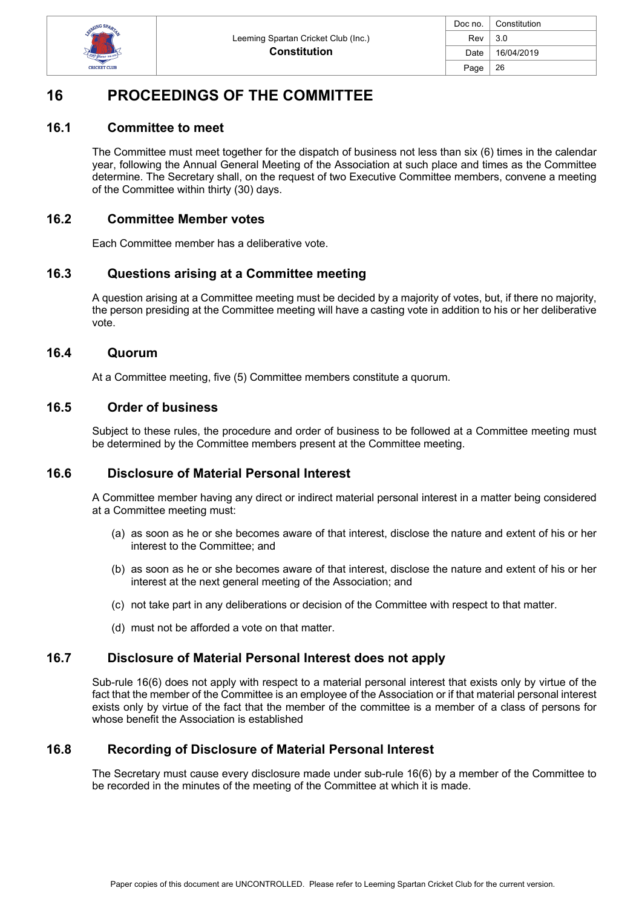

| Doc no. | Constitution |
|---------|--------------|
| Rev     | 3.0          |
| Date    | 16/04/2019   |
| Page    | 26           |

# **16 PROCEEDINGS OF THE COMMITTEE**

#### **16.1 Committee to meet**

The Committee must meet together for the dispatch of business not less than six (6) times in the calendar year, following the Annual General Meeting of the Association at such place and times as the Committee determine. The Secretary shall, on the request of two Executive Committee members, convene a meeting of the Committee within thirty (30) days.

#### **16.2 Committee Member votes**

Each Committee member has a deliberative vote.

### **16.3 Questions arising at a Committee meeting**

A question arising at a Committee meeting must be decided by a majority of votes, but, if there no majority, the person presiding at the Committee meeting will have a casting vote in addition to his or her deliberative vote.

#### **16.4 Quorum**

At a Committee meeting, five (5) Committee members constitute a quorum.

### **16.5 Order of business**

Subject to these rules, the procedure and order of business to be followed at a Committee meeting must be determined by the Committee members present at the Committee meeting.

#### **16.6 Disclosure of Material Personal Interest**

A Committee member having any direct or indirect material personal interest in a matter being considered at a Committee meeting must:

- (a) as soon as he or she becomes aware of that interest, disclose the nature and extent of his or her interest to the Committee; and
- (b) as soon as he or she becomes aware of that interest, disclose the nature and extent of his or her interest at the next general meeting of the Association; and
- (c) not take part in any deliberations or decision of the Committee with respect to that matter.
- (d) must not be afforded a vote on that matter.

#### **16.7 Disclosure of Material Personal Interest does not apply**

Sub-rule 16(6) does not apply with respect to a material personal interest that exists only by virtue of the fact that the member of the Committee is an employee of the Association or if that material personal interest exists only by virtue of the fact that the member of the committee is a member of a class of persons for whose benefit the Association is established

# **16.8 Recording of Disclosure of Material Personal Interest**

The Secretary must cause every disclosure made under sub-rule 16(6) by a member of the Committee to be recorded in the minutes of the meeting of the Committee at which it is made.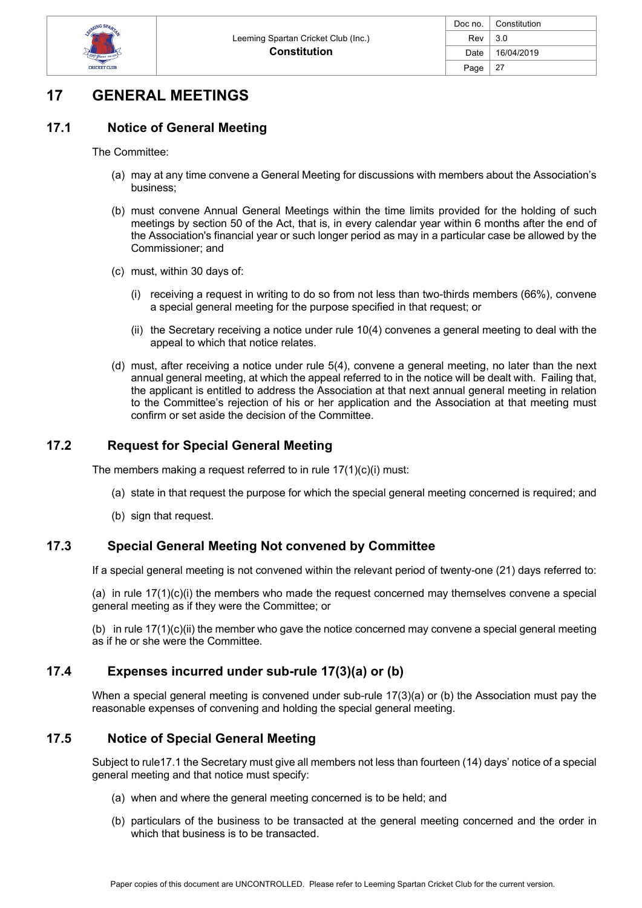

# **17 GENERAL MEETINGS**

# **17.1 Notice of General Meeting**

The Committee:

- (a) may at any time convene a General Meeting for discussions with members about the Association's business;
- (b) must convene Annual General Meetings within the time limits provided for the holding of such meetings by section 50 of the Act, that is, in every calendar year within 6 months after the end of the Association's financial year or such longer period as may in a particular case be allowed by the Commissioner; and
- (c) must, within 30 days of:
	- (i) receiving a request in writing to do so from not less than two-thirds members (66%), convene a special general meeting for the purpose specified in that request; or
	- (ii) the Secretary receiving a notice under rule 10(4) convenes a general meeting to deal with the appeal to which that notice relates.
- (d) must, after receiving a notice under rule 5(4), convene a general meeting, no later than the next annual general meeting, at which the appeal referred to in the notice will be dealt with. Failing that, the applicant is entitled to address the Association at that next annual general meeting in relation to the Committee's rejection of his or her application and the Association at that meeting must confirm or set aside the decision of the Committee.

# **17.2 Request for Special General Meeting**

The members making a request referred to in rule 17(1)(c)(i) must:

- (a) state in that request the purpose for which the special general meeting concerned is required; and
- (b) sign that request.

# **17.3 Special General Meeting Not convened by Committee**

If a special general meeting is not convened within the relevant period of twenty-one (21) days referred to:

(a) in rule 17(1)(c)(i) the members who made the request concerned may themselves convene a special general meeting as if they were the Committee; or

(b) in rule 17(1)(c)(ii) the member who gave the notice concerned may convene a special general meeting as if he or she were the Committee.

# **17.4 Expenses incurred under sub-rule 17(3)(a) or (b)**

When a special general meeting is convened under sub-rule 17(3)(a) or (b) the Association must pay the reasonable expenses of convening and holding the special general meeting.

# **17.5 Notice of Special General Meeting**

Subject to rule17.1 the Secretary must give all members not less than fourteen (14) days' notice of a special general meeting and that notice must specify:

- (a) when and where the general meeting concerned is to be held; and
- (b) particulars of the business to be transacted at the general meeting concerned and the order in which that business is to be transacted.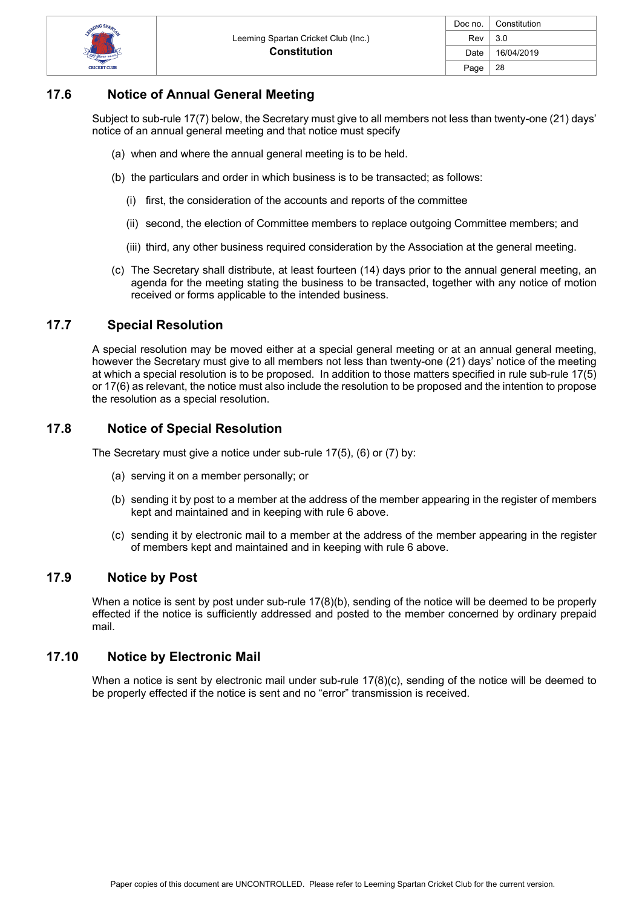

# **17.6 Notice of Annual General Meeting**

Subject to sub-rule 17(7) below, the Secretary must give to all members not less than twenty-one (21) days' notice of an annual general meeting and that notice must specify

- (a) when and where the annual general meeting is to be held.
- (b) the particulars and order in which business is to be transacted; as follows:
	- (i) first, the consideration of the accounts and reports of the committee
	- (ii) second, the election of Committee members to replace outgoing Committee members; and
	- (iii) third, any other business required consideration by the Association at the general meeting.
- (c) The Secretary shall distribute, at least fourteen (14) days prior to the annual general meeting, an agenda for the meeting stating the business to be transacted, together with any notice of motion received or forms applicable to the intended business.

### **17.7 Special Resolution**

A special resolution may be moved either at a special general meeting or at an annual general meeting, however the Secretary must give to all members not less than twenty-one (21) days' notice of the meeting at which a special resolution is to be proposed. In addition to those matters specified in rule sub-rule 17(5) or 17(6) as relevant, the notice must also include the resolution to be proposed and the intention to propose the resolution as a special resolution.

# **17.8 Notice of Special Resolution**

The Secretary must give a notice under sub-rule 17(5), (6) or (7) by:

- (a) serving it on a member personally; or
- (b) sending it by post to a member at the address of the member appearing in the register of members kept and maintained and in keeping with rule 6 above.
- (c) sending it by electronic mail to a member at the address of the member appearing in the register of members kept and maintained and in keeping with rule 6 above.

#### **17.9 Notice by Post**

When a notice is sent by post under sub-rule 17(8)(b), sending of the notice will be deemed to be properly effected if the notice is sufficiently addressed and posted to the member concerned by ordinary prepaid mail.

#### **17.10 Notice by Electronic Mail**

When a notice is sent by electronic mail under sub-rule 17(8)(c), sending of the notice will be deemed to be properly effected if the notice is sent and no "error" transmission is received.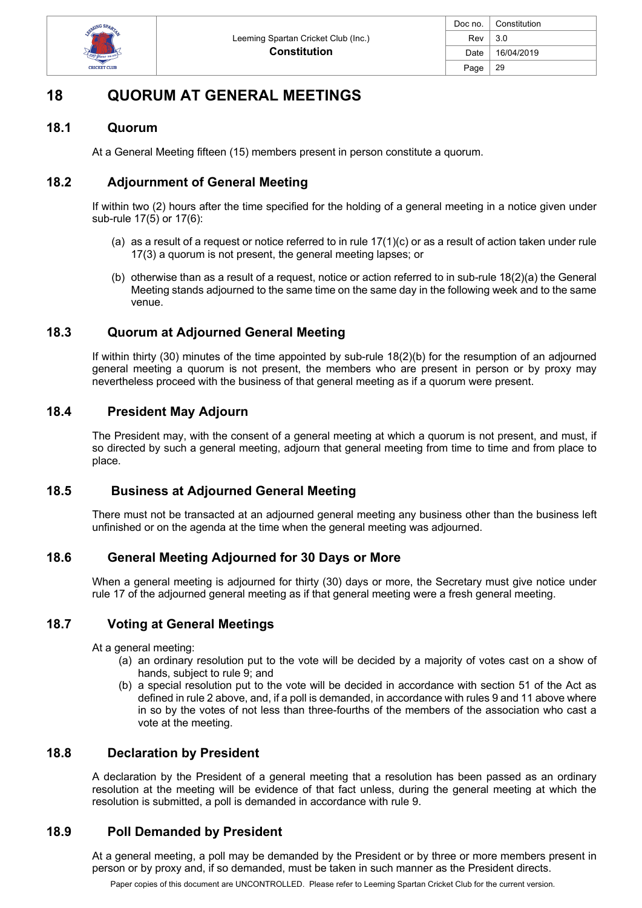

# **18 QUORUM AT GENERAL MEETINGS**

### **18.1 Quorum**

At a General Meeting fifteen (15) members present in person constitute a quorum.

# **18.2 Adjournment of General Meeting**

If within two (2) hours after the time specified for the holding of a general meeting in a notice given under sub-rule 17(5) or 17(6):

- (a) as a result of a request or notice referred to in rule 17(1)(c) or as a result of action taken under rule 17(3) a quorum is not present, the general meeting lapses; or
- (b) otherwise than as a result of a request, notice or action referred to in sub-rule  $18(2)(a)$  the General Meeting stands adjourned to the same time on the same day in the following week and to the same venue.

### **18.3 Quorum at Adjourned General Meeting**

If within thirty (30) minutes of the time appointed by sub-rule 18(2)(b) for the resumption of an adjourned general meeting a quorum is not present, the members who are present in person or by proxy may nevertheless proceed with the business of that general meeting as if a quorum were present.

### **18.4 President May Adjourn**

The President may, with the consent of a general meeting at which a quorum is not present, and must, if so directed by such a general meeting, adjourn that general meeting from time to time and from place to place.

#### **18.5 Business at Adjourned General Meeting**

There must not be transacted at an adjourned general meeting any business other than the business left unfinished or on the agenda at the time when the general meeting was adjourned.

# **18.6 General Meeting Adjourned for 30 Days or More**

When a general meeting is adjourned for thirty (30) days or more, the Secretary must give notice under rule 17 of the adjourned general meeting as if that general meeting were a fresh general meeting.

#### **18.7 Voting at General Meetings**

At a general meeting:

- (a) an ordinary resolution put to the vote will be decided by a majority of votes cast on a show of hands, subject to rule 9; and
- (b) a special resolution put to the vote will be decided in accordance with section 51 of the Act as defined in rule 2 above, and, if a poll is demanded, in accordance with rules 9 and 11 above where in so by the votes of not less than three-fourths of the members of the association who cast a vote at the meeting.

#### **18.8 Declaration by President**

A declaration by the President of a general meeting that a resolution has been passed as an ordinary resolution at the meeting will be evidence of that fact unless, during the general meeting at which the resolution is submitted, a poll is demanded in accordance with rule 9.

# **18.9 Poll Demanded by President**

At a general meeting, a poll may be demanded by the President or by three or more members present in person or by proxy and, if so demanded, must be taken in such manner as the President directs.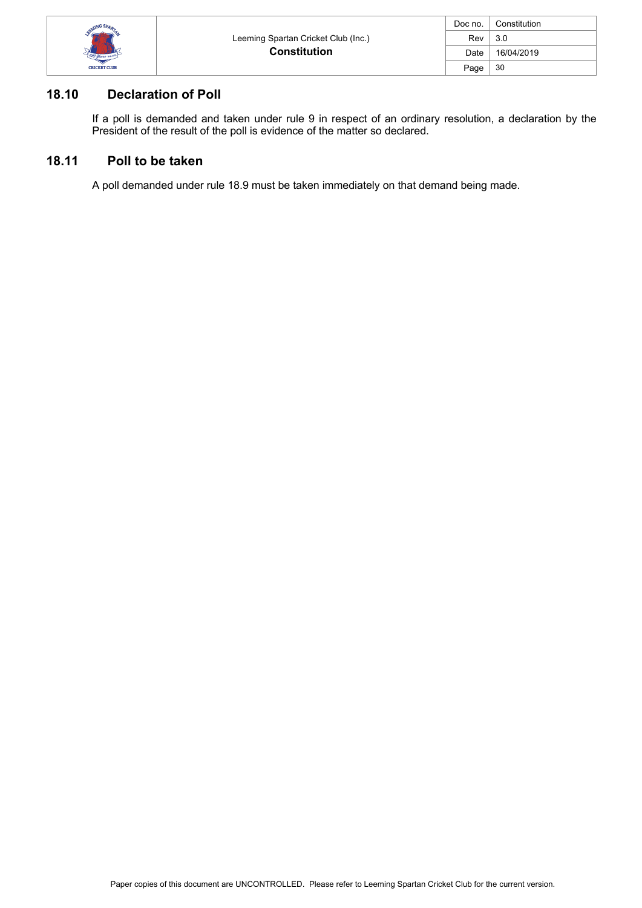

| Doc no. | Constitution |
|---------|--------------|
| Rev     | 3.0          |
| Date    | 16/04/2019   |
| Page    | 30           |

# **18.10 Declaration of Poll**

If a poll is demanded and taken under rule 9 in respect of an ordinary resolution, a declaration by the President of the result of the poll is evidence of the matter so declared.

#### **18.11 Poll to be taken**

A poll demanded under rule 18.9 must be taken immediately on that demand being made.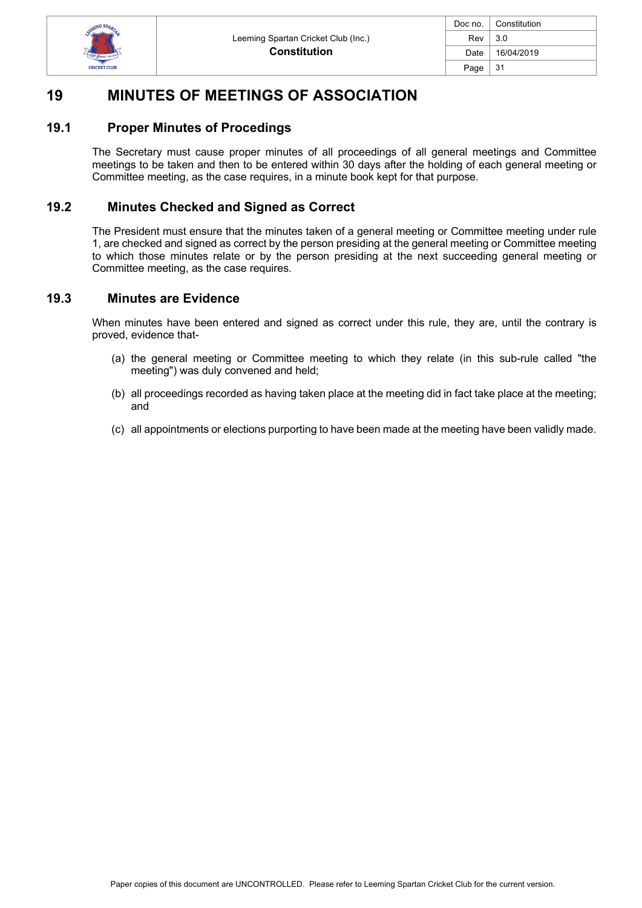

|        | Doc no.   Constitution |
|--------|------------------------|
| Rev    | 3.0                    |
| Date I | 16/04/2019             |
| Page   | 31                     |

# **19 MINUTES OF MEETINGS OF ASSOCIATION**

#### **19.1 Proper Minutes of Procedings**

The Secretary must cause proper minutes of all proceedings of all general meetings and Committee meetings to be taken and then to be entered within 30 days after the holding of each general meeting or Committee meeting, as the case requires, in a minute book kept for that purpose.

### **19.2 Minutes Checked and Signed as Correct**

The President must ensure that the minutes taken of a general meeting or Committee meeting under rule 1, are checked and signed as correct by the person presiding at the general meeting or Committee meeting to which those minutes relate or by the person presiding at the next succeeding general meeting or Committee meeting, as the case requires.

#### **19.3 Minutes are Evidence**

When minutes have been entered and signed as correct under this rule, they are, until the contrary is proved, evidence that-

- (a) the general meeting or Committee meeting to which they relate (in this sub-rule called "the meeting") was duly convened and held;
- (b) all proceedings recorded as having taken place at the meeting did in fact take place at the meeting; and
- (c) all appointments or elections purporting to have been made at the meeting have been validly made.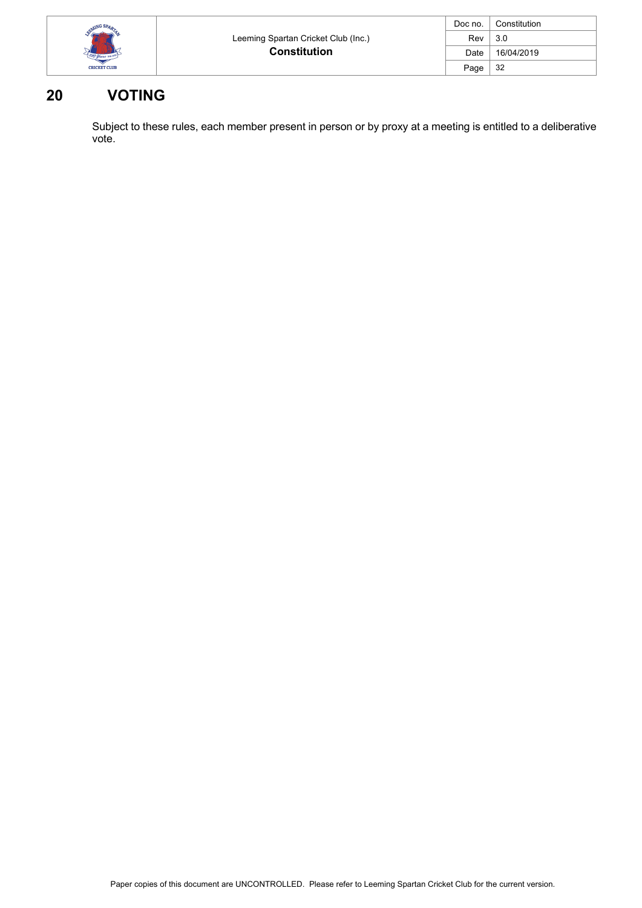| MING SPAR           |                                     | Doc no. | Constitution |
|---------------------|-------------------------------------|---------|--------------|
|                     | Leeming Spartan Cricket Club (Inc.) | Rev     | 3.0          |
| 100 years in        | <b>Constitution</b>                 | Date    | 16/04/2019   |
| <b>CRICKET CLUB</b> |                                     | Page    | -32          |

# **20 VOTING**

Subject to these rules, each member present in person or by proxy at a meeting is entitled to a deliberative vote.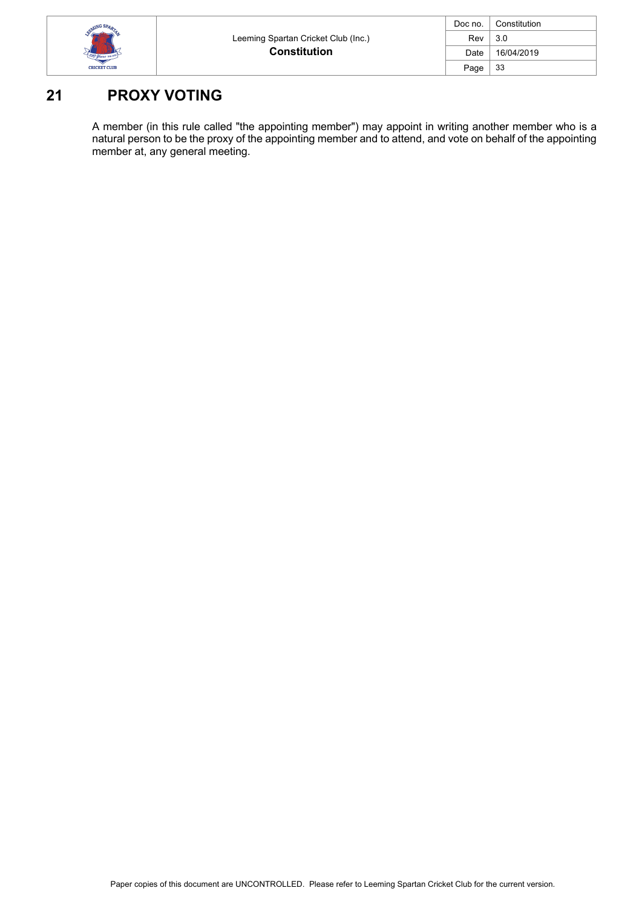

| Doc no. | Constitution |
|---------|--------------|
| Rev     | 3.0          |
| Date    | 16/04/2019   |
| Page    | 33           |

# **21 PROXY VOTING**

A member (in this rule called "the appointing member") may appoint in writing another member who is a natural person to be the proxy of the appointing member and to attend, and vote on behalf of the appointing member at, any general meeting.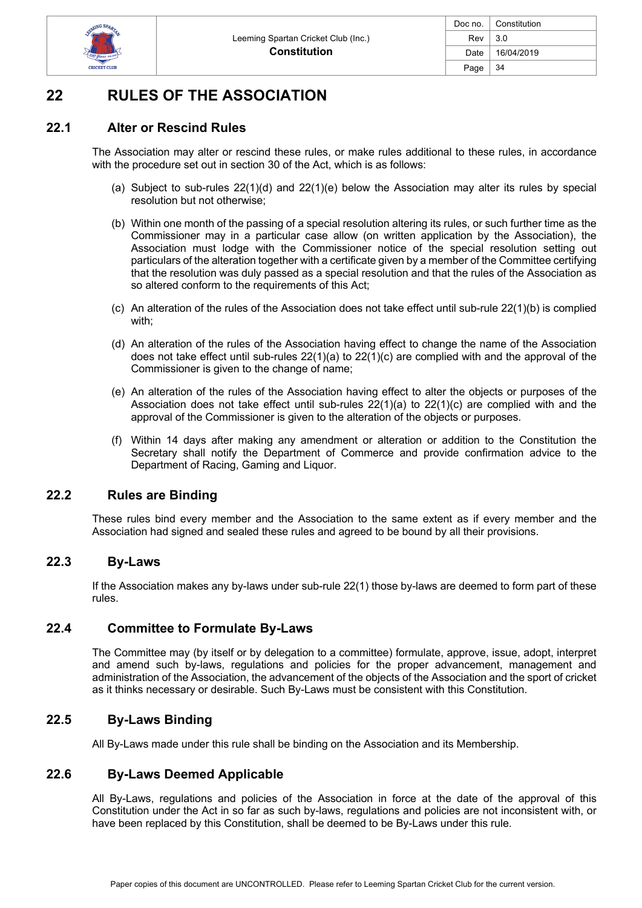

# **22 RULES OF THE ASSOCIATION**

# **22.1 Alter or Rescind Rules**

The Association may alter or rescind these rules, or make rules additional to these rules, in accordance with the procedure set out in section 30 of the Act, which is as follows:

- (a) Subject to sub-rules 22(1)(d) and 22(1)(e) below the Association may alter its rules by special resolution but not otherwise;
- (b) Within one month of the passing of a special resolution altering its rules, or such further time as the Commissioner may in a particular case allow (on written application by the Association), the Association must lodge with the Commissioner notice of the special resolution setting out particulars of the alteration together with a certificate given by a member of the Committee certifying that the resolution was duly passed as a special resolution and that the rules of the Association as so altered conform to the requirements of this Act;
- (c) An alteration of the rules of the Association does not take effect until sub-rule 22(1)(b) is complied with;
- (d) An alteration of the rules of the Association having effect to change the name of the Association does not take effect until sub-rules  $22(1)(a)$  to  $22(1)(c)$  are complied with and the approval of the Commissioner is given to the change of name;
- (e) An alteration of the rules of the Association having effect to alter the objects or purposes of the Association does not take effect until sub-rules  $22(1)(a)$  to  $22(1)(c)$  are complied with and the approval of the Commissioner is given to the alteration of the objects or purposes.
- (f) Within 14 days after making any amendment or alteration or addition to the Constitution the Secretary shall notify the Department of Commerce and provide confirmation advice to the Department of Racing, Gaming and Liquor.

# **22.2 Rules are Binding**

These rules bind every member and the Association to the same extent as if every member and the Association had signed and sealed these rules and agreed to be bound by all their provisions.

#### **22.3 By-Laws**

If the Association makes any by-laws under sub-rule 22(1) those by-laws are deemed to form part of these rules.

#### **22.4 Committee to Formulate By-Laws**

The Committee may (by itself or by delegation to a committee) formulate, approve, issue, adopt, interpret and amend such by-laws, regulations and policies for the proper advancement, management and administration of the Association, the advancement of the objects of the Association and the sport of cricket as it thinks necessary or desirable. Such By-Laws must be consistent with this Constitution.

# **22.5 By-Laws Binding**

All By-Laws made under this rule shall be binding on the Association and its Membership.

# **22.6 By-Laws Deemed Applicable**

All By-Laws, regulations and policies of the Association in force at the date of the approval of this Constitution under the Act in so far as such by-laws, regulations and policies are not inconsistent with, or have been replaced by this Constitution, shall be deemed to be By-Laws under this rule.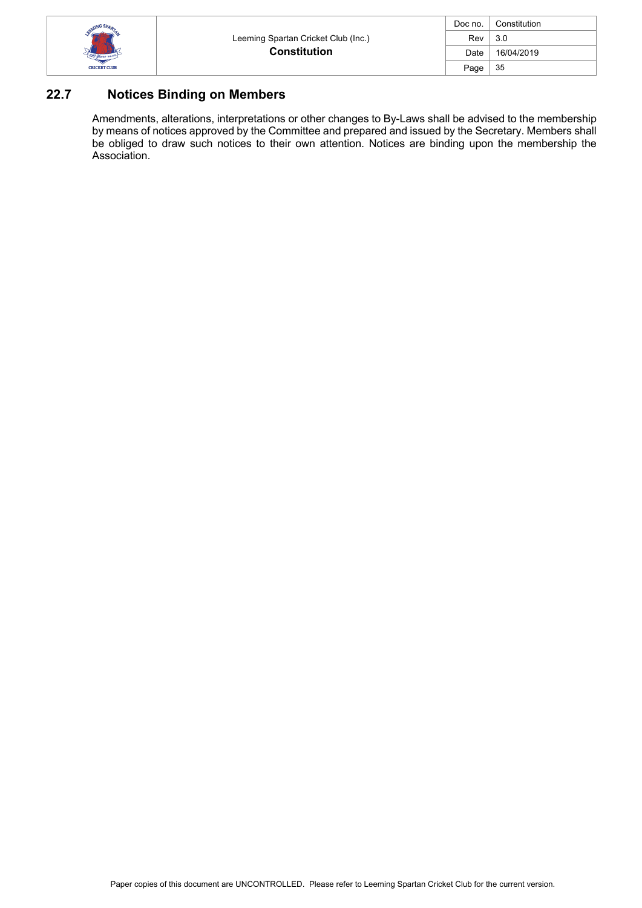

| Doc no. | Constitution |
|---------|--------------|
| Rev     | 3.0          |
| Date    | 16/04/2019   |
| Page    | 35           |

# **22.7 Notices Binding on Members**

Amendments, alterations, interpretations or other changes to By-Laws shall be advised to the membership by means of notices approved by the Committee and prepared and issued by the Secretary. Members shall be obliged to draw such notices to their own attention. Notices are binding upon the membership the Association.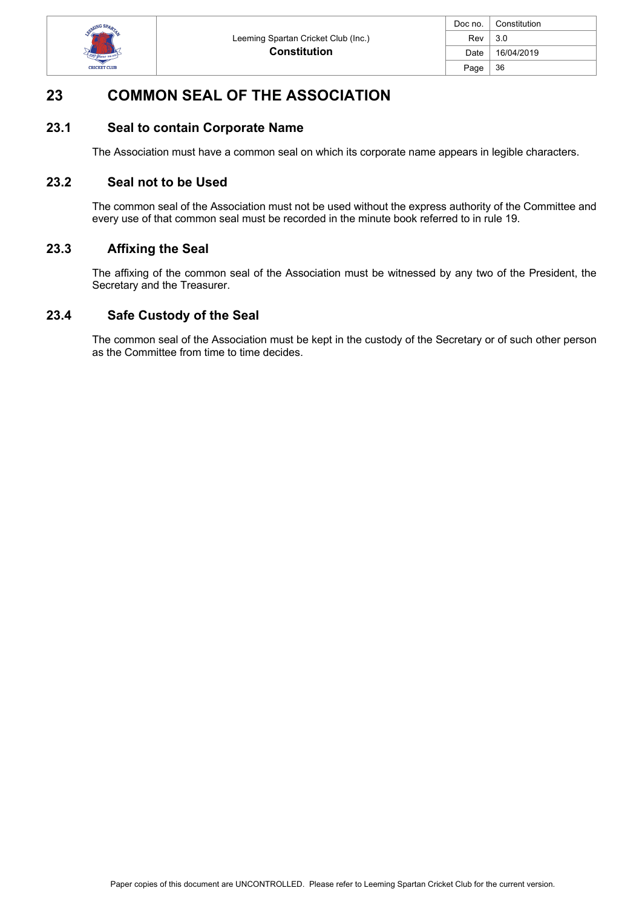

| Doc no. $\vert$ | Constitution |
|-----------------|--------------|
| Rev             | 3.0          |
| Date I          | 16/04/2019   |
| Page            | 36           |

# **23 COMMON SEAL OF THE ASSOCIATION**

### **23.1 Seal to contain Corporate Name**

The Association must have a common seal on which its corporate name appears in legible characters.

### **23.2 Seal not to be Used**

The common seal of the Association must not be used without the express authority of the Committee and every use of that common seal must be recorded in the minute book referred to in rule 19.

### **23.3 Affixing the Seal**

The affixing of the common seal of the Association must be witnessed by any two of the President, the Secretary and the Treasurer.

### **23.4 Safe Custody of the Seal**

The common seal of the Association must be kept in the custody of the Secretary or of such other person as the Committee from time to time decides.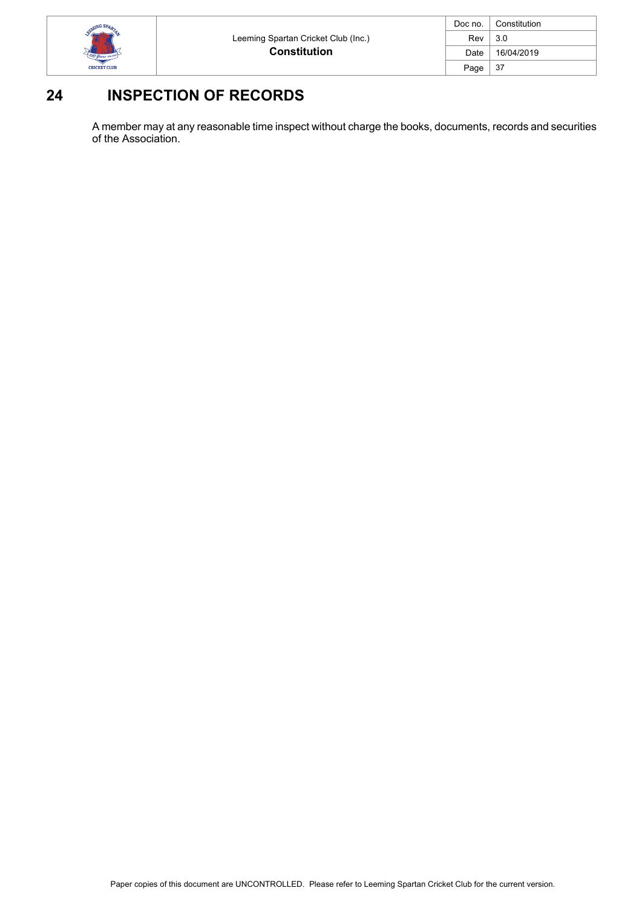

| Doc no. | Constitution |
|---------|--------------|
| Rev     | 3.0          |
| Date    | 16/04/2019   |
| Page    | -37          |

# **24 INSPECTION OF RECORDS**

A member may at any reasonable time inspect without charge the books, documents, records and securities of the Association.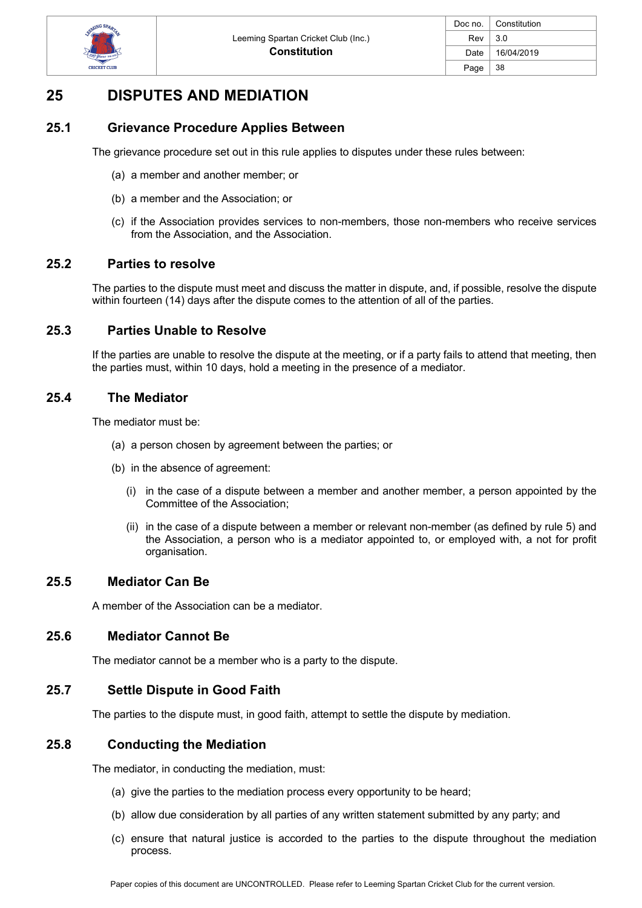

# **25 DISPUTES AND MEDIATION**

### **25.1 Grievance Procedure Applies Between**

The grievance procedure set out in this rule applies to disputes under these rules between:

- (a) a member and another member; or
- (b) a member and the Association; or
- (c) if the Association provides services to non-members, those non-members who receive services from the Association, and the Association.

#### **25.2 Parties to resolve**

The parties to the dispute must meet and discuss the matter in dispute, and, if possible, resolve the dispute within fourteen (14) days after the dispute comes to the attention of all of the parties.

### **25.3 Parties Unable to Resolve**

If the parties are unable to resolve the dispute at the meeting, or if a party fails to attend that meeting, then the parties must, within 10 days, hold a meeting in the presence of a mediator.

#### **25.4 The Mediator**

The mediator must be:

- (a) a person chosen by agreement between the parties; or
- (b) in the absence of agreement:
	- (i) in the case of a dispute between a member and another member, a person appointed by the Committee of the Association;
	- (ii) in the case of a dispute between a member or relevant non-member (as defined by rule 5) and the Association, a person who is a mediator appointed to, or employed with, a not for profit organisation.

#### **25.5 Mediator Can Be**

A member of the Association can be a mediator.

#### **25.6 Mediator Cannot Be**

The mediator cannot be a member who is a party to the dispute.

# **25.7 Settle Dispute in Good Faith**

The parties to the dispute must, in good faith, attempt to settle the dispute by mediation.

### **25.8 Conducting the Mediation**

The mediator, in conducting the mediation, must:

- (a) give the parties to the mediation process every opportunity to be heard;
- (b) allow due consideration by all parties of any written statement submitted by any party; and
- (c) ensure that natural justice is accorded to the parties to the dispute throughout the mediation process.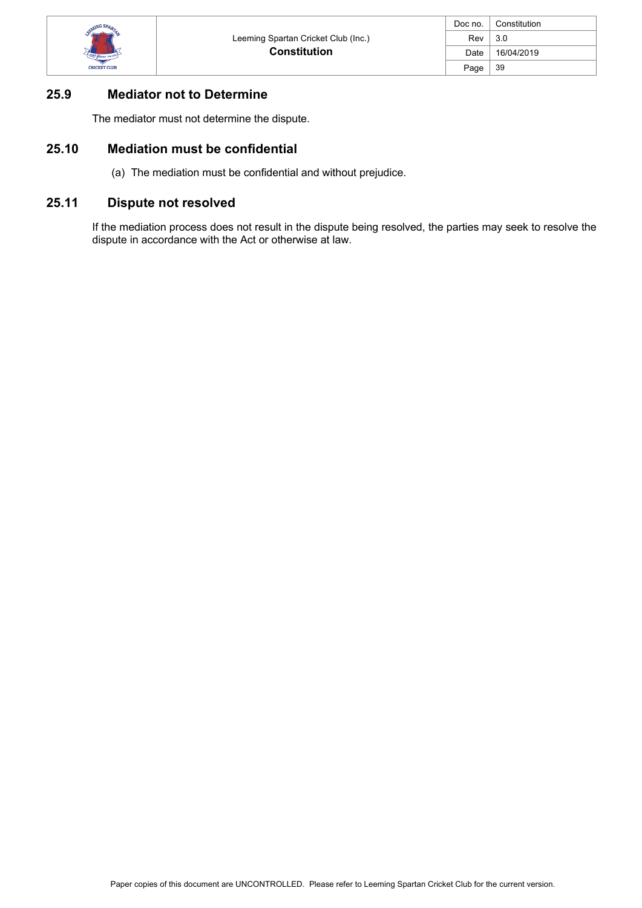

# **25.9 Mediator not to Determine**

The mediator must not determine the dispute.

# **25.10 Mediation must be confidential**

(a) The mediation must be confidential and without prejudice.

# **25.11 Dispute not resolved**

If the mediation process does not result in the dispute being resolved, the parties may seek to resolve the dispute in accordance with the Act or otherwise at law.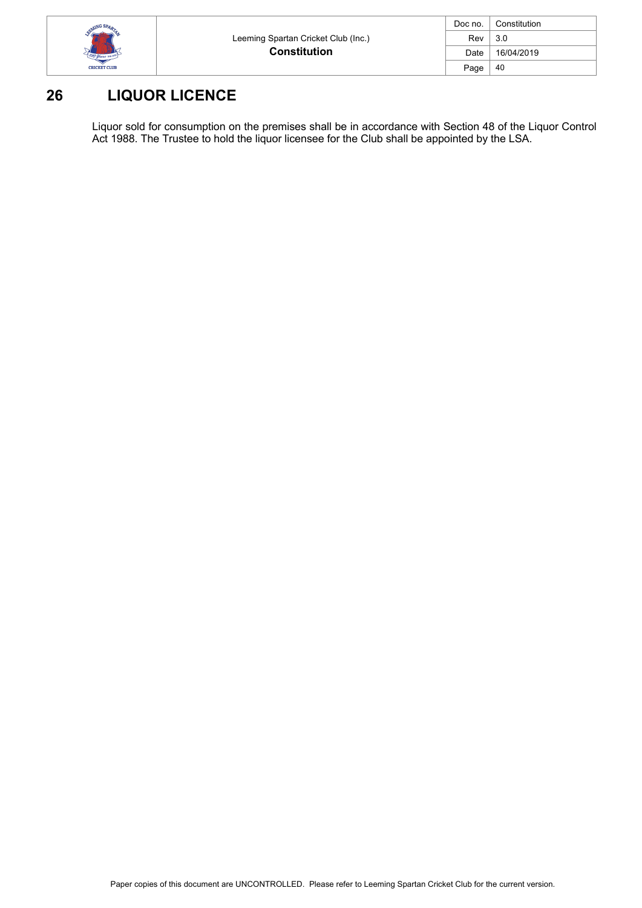

| Doc no. | Constitution |
|---------|--------------|
| Rev     | 3.0          |
| Date    | 16/04/2019   |
| Page    | 40           |

# **26 LIQUOR LICENCE**

Liquor sold for consumption on the premises shall be in accordance with Section 48 of the Liquor Control Act 1988. The Trustee to hold the liquor licensee for the Club shall be appointed by the LSA.